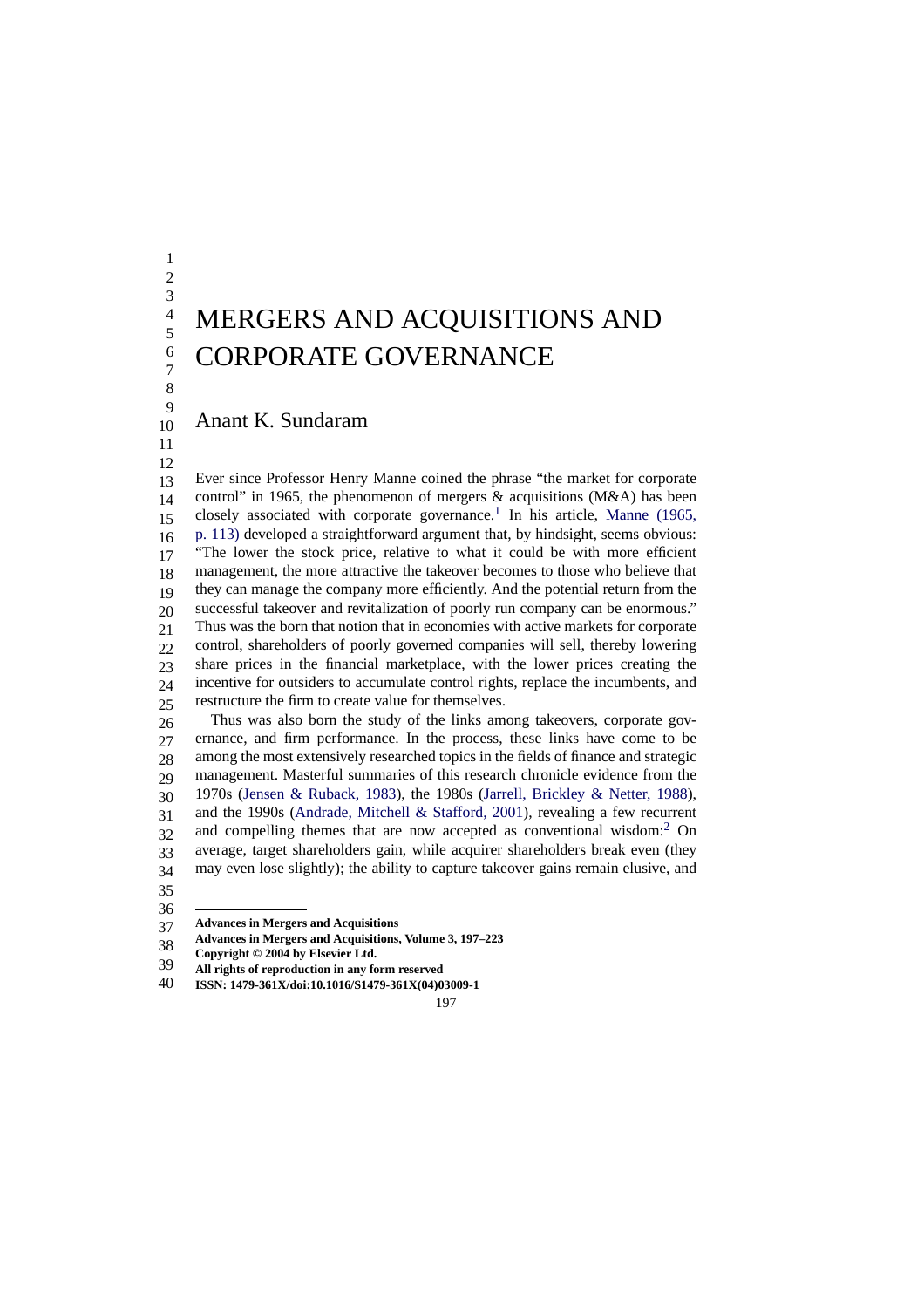# MERGERS AND ACQUISITIONS AND CORPORATE GOVERNANCE

# Anant K. Sundaram

13 14 15 16 17 18 19 20 21 22  $23$ 24 Ever since Professor Henry Manne coined the phrase "the market for corporate control" in 1965, the phenomenon of mergers  $\&$  acquisitions (M&A) has been closely associated with corporate governance.<sup>1</sup> [In](#page-22-0) his article, [Manne \(1965,](#page-25-0) [p. 113\)](#page-25-0) developed a straightforward argument that, by hindsight, seems obvious: "The lower the stock price, relative to what it could be with more efficient management, the more attractive the takeover becomes to those who believe that they can manage the company more efficiently. And the potential return from the successful takeover and revitalization of poorly run company can be enormous." Thus was the born that notion that in economies with active markets for corporate control, shareholders of poorly governed companies will sell, thereby lowering share prices in the financial marketplace, with the lower prices creating the incentive for outsiders to accumulate control rights, replace the incumbents, and

25 restructure the firm to create value for themselves.

26 27 28 29 30 31 32 33 34 35 Thus was also born the study of the links among takeovers, corporate governance, and firm performance. In the process, these links have come to be among the most extensively researched topics in the fields of finance and strategic management. Masterful summaries of this research chronicle evidence from the 1970s ([Jensen & Ruback, 1983\)](#page-25-0), the 1980s ([Jarrell, Brickley & Netter, 1988\)](#page-25-0), and the 1990s ([Andrade, Mitchell & Stafford, 2001\)](#page-24-0), revealing a few recurrent and compelling themes that are now accepted as conventional wisdom:<sup>2</sup> [On](#page-22-0) average, target shareholders gain, while acquirer shareholders break even (they may even lose slightly); the ability to capture takeover gains remain elusive, and

36

<sup>37</sup> **Advances in Mergers and Acquisitions**

<sup>38</sup> **Advances in Mergers and Acquisitions, Volume 3, 197–223**

**Copyright © 2004 by Elsevier Ltd.**

<sup>39</sup> **All rights of reproduction in any form reserved**

<sup>40</sup> **ISSN: 1479-361X/doi:10.1016/S1479-361X(04)03009-1**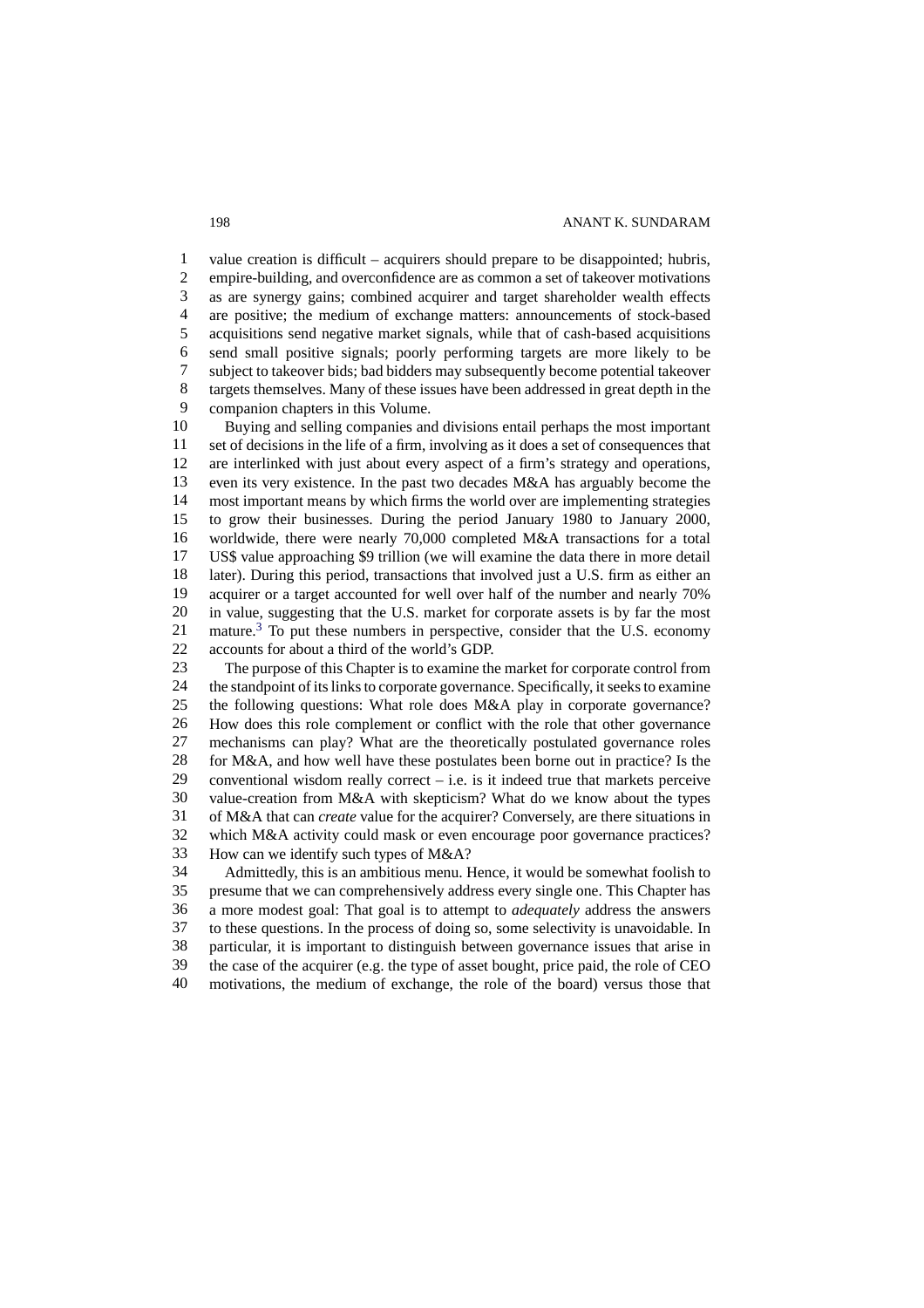1 2 3 4 5 6 7 8 9 value creation is difficult – acquirers should prepare to be disappointed; hubris, empire-building, and overconfidence are as common a set of takeover motivations as are synergy gains; combined acquirer and target shareholder wealth effects are positive; the medium of exchange matters: announcements of stock-based acquisitions send negative market signals, while that of cash-based acquisitions send small positive signals; poorly performing targets are more likely to be subject to takeover bids; bad bidders may subsequently become potential takeover targets themselves. Many of these issues have been addressed in great depth in the companion chapters in this Volume.

10 11 12 13 14 15 16 17 18 19 20 21 22 Buying and selling companies and divisions entail perhaps the most important set of decisions in the life of a firm, involving as it does a set of consequences that are interlinked with just about every aspect of a firm's strategy and operations, even its very existence. In the past two decades M&A has arguably become the most important means by which firms the world over are implementing strategies to grow their businesses. During the period January 1980 to January 2000, worldwide, there were nearly 70,000 completed M&A transactions for a total US\$ value approaching \$9 trillion (we will examine the data there in more detail later). During this period, transactions that involved just a U.S. firm as either an acquirer or a target accounted for well over half of the number and nearly 70% in value, suggesting that the U.S. market for corporate assets is by far the most mature.<sup>3</sup> [To](#page-22-0) put these numbers in perspective, consider that the U.S. economy accounts for about a third of the world's GDP.

23 24 25 26 27 28 29 30 31 32 33 The purpose of this Chapter is to examine the market for corporate control from the standpoint of its links to corporate governance. Specifically, it seeks to examine the following questions: What role does M&A play in corporate governance? How does this role complement or conflict with the role that other governance mechanisms can play? What are the theoretically postulated governance roles for M&A, and how well have these postulates been borne out in practice? Is the conventional wisdom really correct  $-$  i.e. is it indeed true that markets perceive value-creation from M&A with skepticism? What do we know about the types of M&A that can *create* value for the acquirer? Conversely, are there situations in which M&A activity could mask or even encourage poor governance practices? How can we identify such types of M&A?

34 35 36 37 38 39 40 Admittedly, this is an ambitious menu. Hence, it would be somewhat foolish to presume that we can comprehensively address every single one. This Chapter has a more modest goal: That goal is to attempt to *adequately* address the answers to these questions. In the process of doing so, some selectivity is unavoidable. In particular, it is important to distinguish between governance issues that arise in the case of the acquirer (e.g. the type of asset bought, price paid, the role of CEO motivations, the medium of exchange, the role of the board) versus those that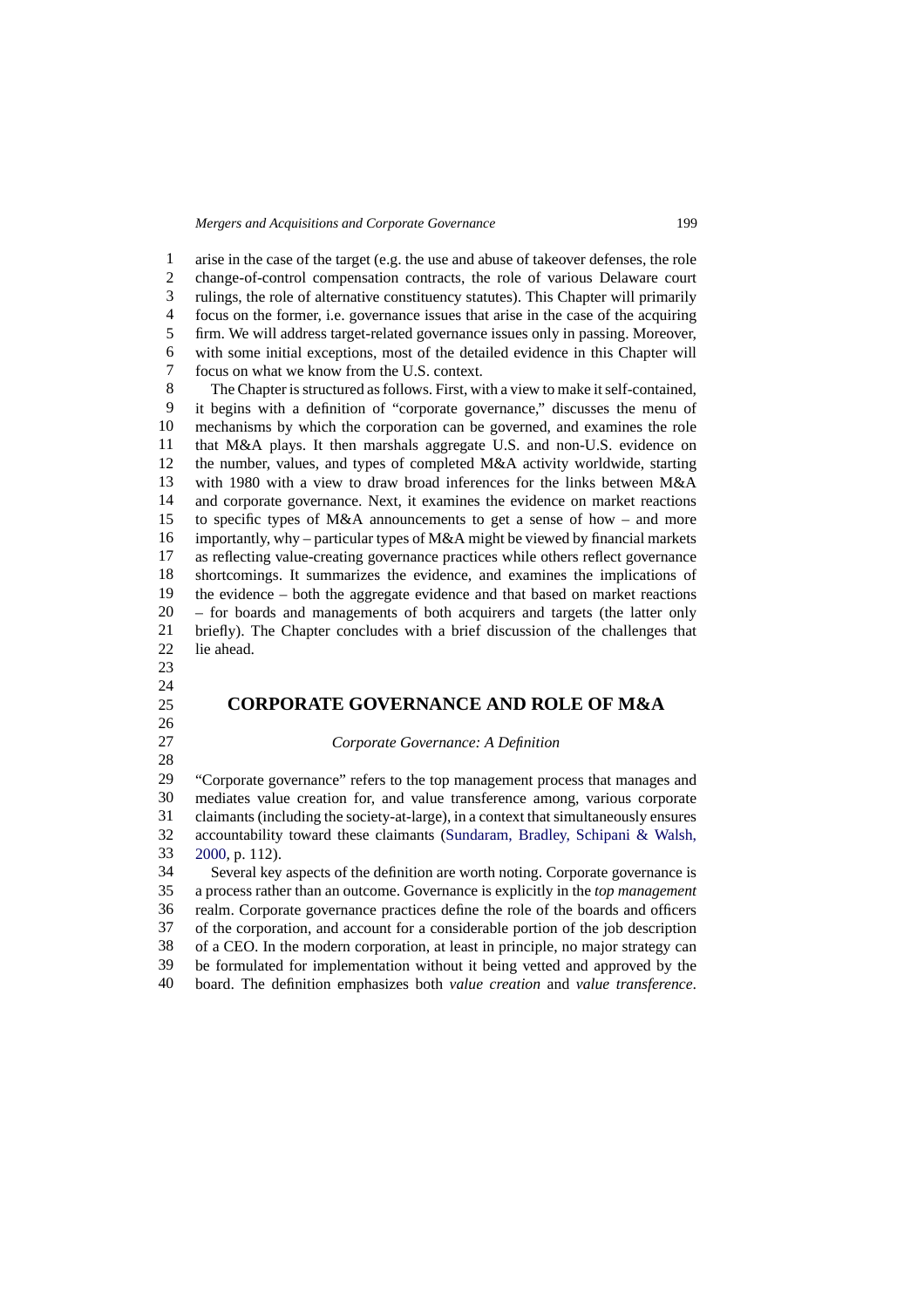1 2 3 4 5 6 7 arise in the case of the target (e.g. the use and abuse of takeover defenses, the role change-of-control compensation contracts, the role of various Delaware court rulings, the role of alternative constituency statutes). This Chapter will primarily focus on the former, i.e. governance issues that arise in the case of the acquiring firm. We will address target-related governance issues only in passing. Moreover, with some initial exceptions, most of the detailed evidence in this Chapter will focus on what we know from the U.S. context.

8 9 10 11 12 13 14 15 16 17 18 19 20 21 22 The Chapter is structured as follows. First, with a view to make it self-contained, it begins with a definition of "corporate governance," discusses the menu of mechanisms by which the corporation can be governed, and examines the role that M&A plays. It then marshals aggregate U.S. and non-U.S. evidence on the number, values, and types of completed M&A activity worldwide, starting with 1980 with a view to draw broad inferences for the links between M&A and corporate governance. Next, it examines the evidence on market reactions to specific types of M&A announcements to get a sense of how – and more importantly, why – particular types of M&A might be viewed by financial markets as reflecting value-creating governance practices while others reflect governance shortcomings. It summarizes the evidence, and examines the implications of the evidence – both the aggregate evidence and that based on market reactions – for boards and managements of both acquirers and targets (the latter only briefly). The Chapter concludes with a brief discussion of the challenges that lie ahead.

- 23 24
- 25 26

27 28

## **CORPORATE GOVERNANCE AND ROLE OF M&A**

*Corporate Governance: A Definition*

29 30 31 32 33 "Corporate governance" refers to the top management process that manages and mediates value creation for, and value transference among, various corporate claimants (including the society-at-large), in a context that simultaneously ensures accountability toward these claimants [\(Sundaram, Bradley, Schipani & Walsh,](#page-26-0) [2000, p](#page-26-0). 112).

34 35 36 37 38 39 40 Several key aspects of the definition are worth noting. Corporate governance is a process rather than an outcome. Governance is explicitly in the *top management* realm. Corporate governance practices define the role of the boards and officers of the corporation, and account for a considerable portion of the job description of a CEO. In the modern corporation, at least in principle, no major strategy can be formulated for implementation without it being vetted and approved by the board. The definition emphasizes both *value creation* and *value transference*.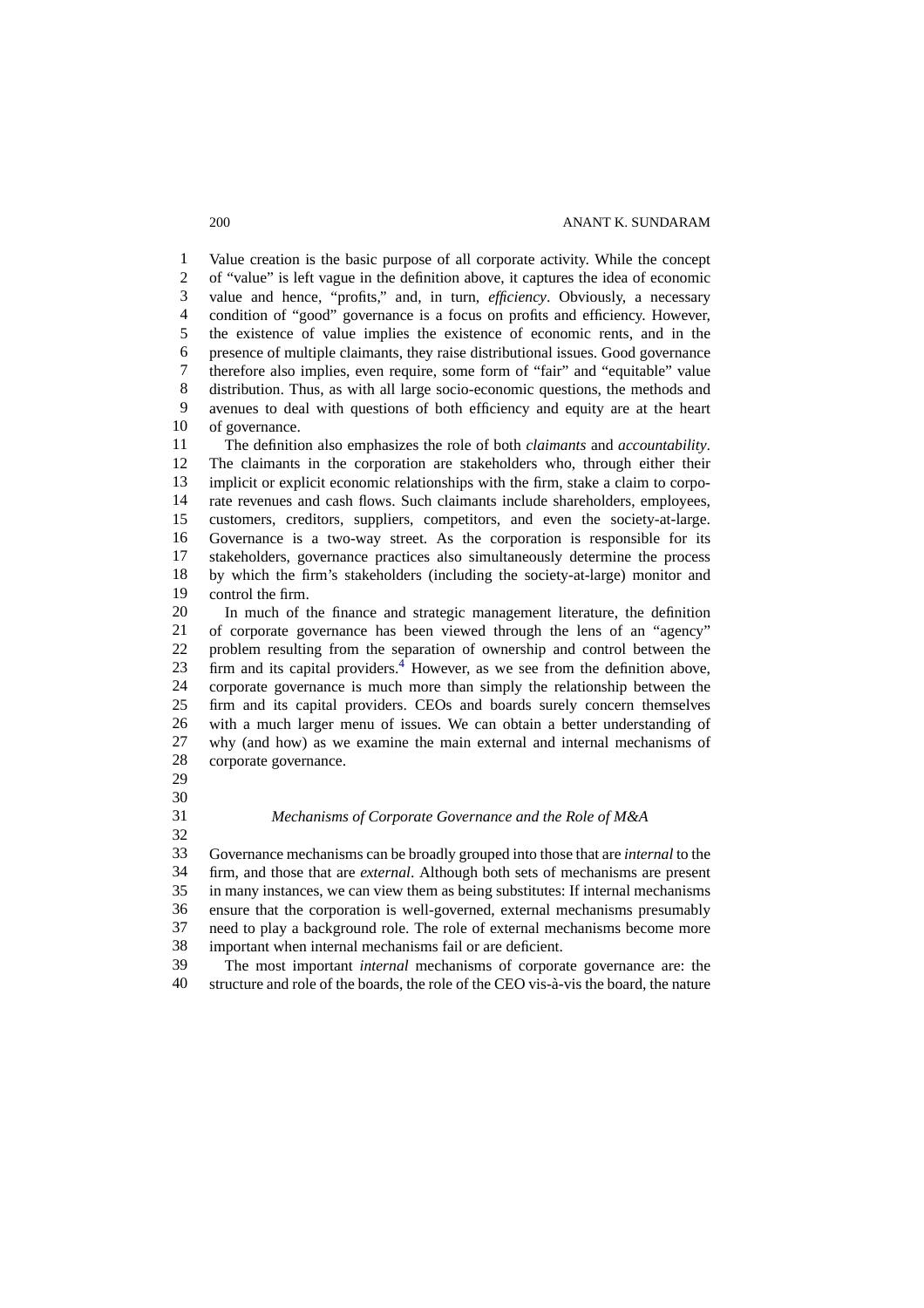1 2 3 4 5 6 7 8 9 10 Value creation is the basic purpose of all corporate activity. While the concept of "value" is left vague in the definition above, it captures the idea of economic value and hence, "profits," and, in turn, *efficiency*. Obviously, a necessary condition of "good" governance is a focus on profits and efficiency. However, the existence of value implies the existence of economic rents, and in the presence of multiple claimants, they raise distributional issues. Good governance therefore also implies, even require, some form of "fair" and "equitable" value distribution. Thus, as with all large socio-economic questions, the methods and avenues to deal with questions of both efficiency and equity are at the heart of governance.

11 12 13 14 15 16 17 18 19 The definition also emphasizes the role of both *claimants* and *accountability*. The claimants in the corporation are stakeholders who, through either their implicit or explicit economic relationships with the firm, stake a claim to corporate revenues and cash flows. Such claimants include shareholders, employees, customers, creditors, suppliers, competitors, and even the society-at-large. Governance is a two-way street. As the corporation is responsible for its stakeholders, governance practices also simultaneously determine the process by which the firm's stakeholders (including the society-at-large) monitor and control the firm.

20 21 22 23 24 25 26 27 28 In much of the finance and strategic management literature, the definition of corporate governance has been viewed through the lens of an "agency" problem resulting from the separation of ownership and control between the firm and its capital providers.<sup>4</sup> [Ho](#page-22-0)wever, as we see from the definition above, corporate governance is much more than simply the relationship between the firm and its capital providers. CEOs and boards surely concern themselves with a much larger menu of issues. We can obtain a better understanding of why (and how) as we examine the main external and internal mechanisms of corporate governance.

29

- 30
- 31 32

## *Mechanisms of Corporate Governance and the Role of M&A*

33 34 35 36 37 38 Governance mechanisms can be broadly grouped into those that are *internal* to the firm, and those that are *external*. Although both sets of mechanisms are present in many instances, we can view them as being substitutes: If internal mechanisms ensure that the corporation is well-governed, external mechanisms presumably need to play a background role. The role of external mechanisms become more important when internal mechanisms fail or are deficient.

39 40 The most important *internal* mechanisms of corporate governance are: the structure and role of the boards, the role of the CEO vis-à-vis the board, the nature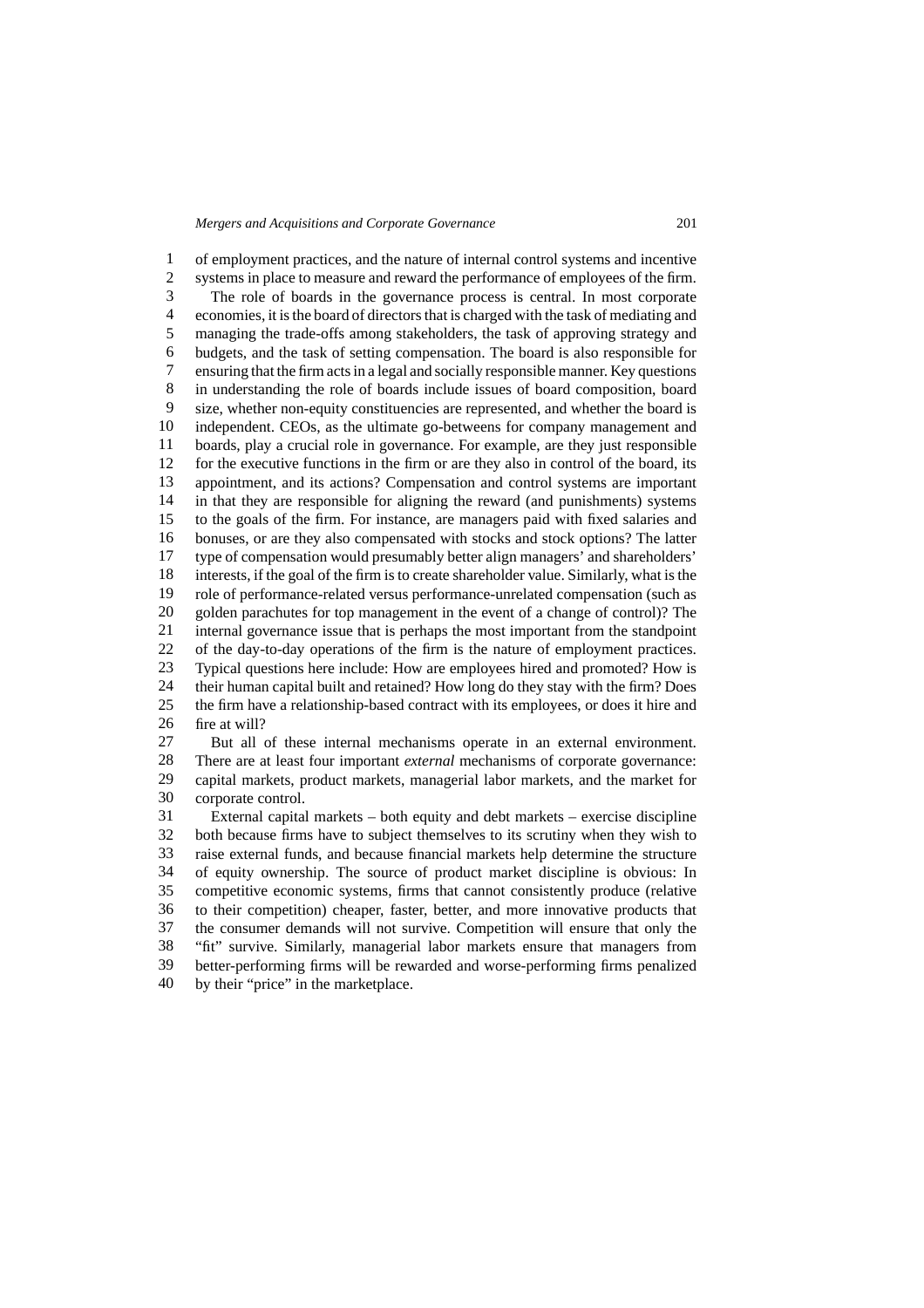1 2 3 4 5 6 7 8 9 10 11 12 13 14 15 16 17 18 19 20 21 22 23 24 25 26 of employment practices, and the nature of internal control systems and incentive systems in place to measure and reward the performance of employees of the firm. The role of boards in the governance process is central. In most corporate economies, it is the board of directors that is charged with the task of mediating and managing the trade-offs among stakeholders, the task of approving strategy and budgets, and the task of setting compensation. The board is also responsible for ensuring that the firm acts in a legal and socially responsible manner. Key questions in understanding the role of boards include issues of board composition, board size, whether non-equity constituencies are represented, and whether the board is independent. CEOs, as the ultimate go-betweens for company management and boards, play a crucial role in governance. For example, are they just responsible for the executive functions in the firm or are they also in control of the board, its appointment, and its actions? Compensation and control systems are important in that they are responsible for aligning the reward (and punishments) systems to the goals of the firm. For instance, are managers paid with fixed salaries and bonuses, or are they also compensated with stocks and stock options? The latter type of compensation would presumably better align managers' and shareholders' interests, if the goal of the firm is to create shareholder value. Similarly, what is the role of performance-related versus performance-unrelated compensation (such as golden parachutes for top management in the event of a change of control)? The internal governance issue that is perhaps the most important from the standpoint of the day-to-day operations of the firm is the nature of employment practices. Typical questions here include: How are employees hired and promoted? How is their human capital built and retained? How long do they stay with the firm? Does the firm have a relationship-based contract with its employees, or does it hire and fire at will?

27 28 29 30 But all of these internal mechanisms operate in an external environment. There are at least four important *external* mechanisms of corporate governance: capital markets, product markets, managerial labor markets, and the market for corporate control.

31 32 33 34 35 36 37 38 39 40 External capital markets – both equity and debt markets – exercise discipline both because firms have to subject themselves to its scrutiny when they wish to raise external funds, and because financial markets help determine the structure of equity ownership. The source of product market discipline is obvious: In competitive economic systems, firms that cannot consistently produce (relative to their competition) cheaper, faster, better, and more innovative products that the consumer demands will not survive. Competition will ensure that only the "fit" survive. Similarly, managerial labor markets ensure that managers from better-performing firms will be rewarded and worse-performing firms penalized by their "price" in the marketplace.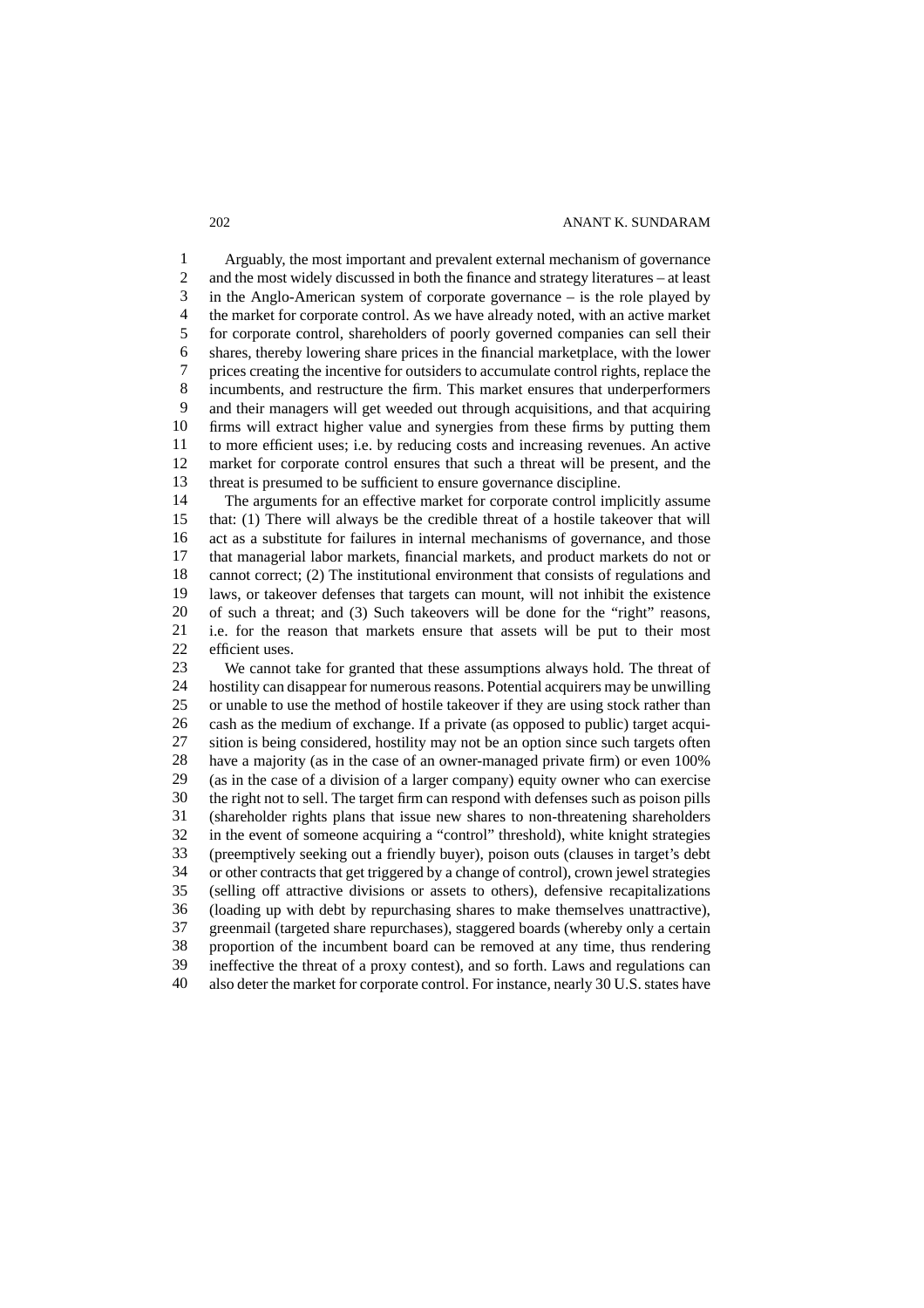1 2 3 4 5 6 7 8 9 10 11 12 13 Arguably, the most important and prevalent external mechanism of governance and the most widely discussed in both the finance and strategy literatures – at least in the Anglo-American system of corporate governance – is the role played by the market for corporate control. As we have already noted, with an active market for corporate control, shareholders of poorly governed companies can sell their shares, thereby lowering share prices in the financial marketplace, with the lower prices creating the incentive for outsiders to accumulate control rights, replace the incumbents, and restructure the firm. This market ensures that underperformers and their managers will get weeded out through acquisitions, and that acquiring firms will extract higher value and synergies from these firms by putting them to more efficient uses; i.e. by reducing costs and increasing revenues. An active market for corporate control ensures that such a threat will be present, and the threat is presumed to be sufficient to ensure governance discipline.

14 15 16 17 18 19 20 21 22 The arguments for an effective market for corporate control implicitly assume that: (1) There will always be the credible threat of a hostile takeover that will act as a substitute for failures in internal mechanisms of governance, and those that managerial labor markets, financial markets, and product markets do not or cannot correct; (2) The institutional environment that consists of regulations and laws, or takeover defenses that targets can mount, will not inhibit the existence of such a threat; and (3) Such takeovers will be done for the "right" reasons, i.e. for the reason that markets ensure that assets will be put to their most efficient uses.

23 24 25 26 27 28 29 30 31 32 33 34 35 36 37 38 39 40 We cannot take for granted that these assumptions always hold. The threat of hostility can disappear for numerous reasons. Potential acquirers may be unwilling or unable to use the method of hostile takeover if they are using stock rather than cash as the medium of exchange. If a private (as opposed to public) target acquisition is being considered, hostility may not be an option since such targets often have a majority (as in the case of an owner-managed private firm) or even 100% (as in the case of a division of a larger company) equity owner who can exercise the right not to sell. The target firm can respond with defenses such as poison pills (shareholder rights plans that issue new shares to non-threatening shareholders in the event of someone acquiring a "control" threshold), white knight strategies (preemptively seeking out a friendly buyer), poison outs (clauses in target's debt or other contracts that get triggered by a change of control), crown jewel strategies (selling off attractive divisions or assets to others), defensive recapitalizations (loading up with debt by repurchasing shares to make themselves unattractive), greenmail (targeted share repurchases), staggered boards (whereby only a certain proportion of the incumbent board can be removed at any time, thus rendering ineffective the threat of a proxy contest), and so forth. Laws and regulations can also deter the market for corporate control. For instance, nearly 30 U.S. states have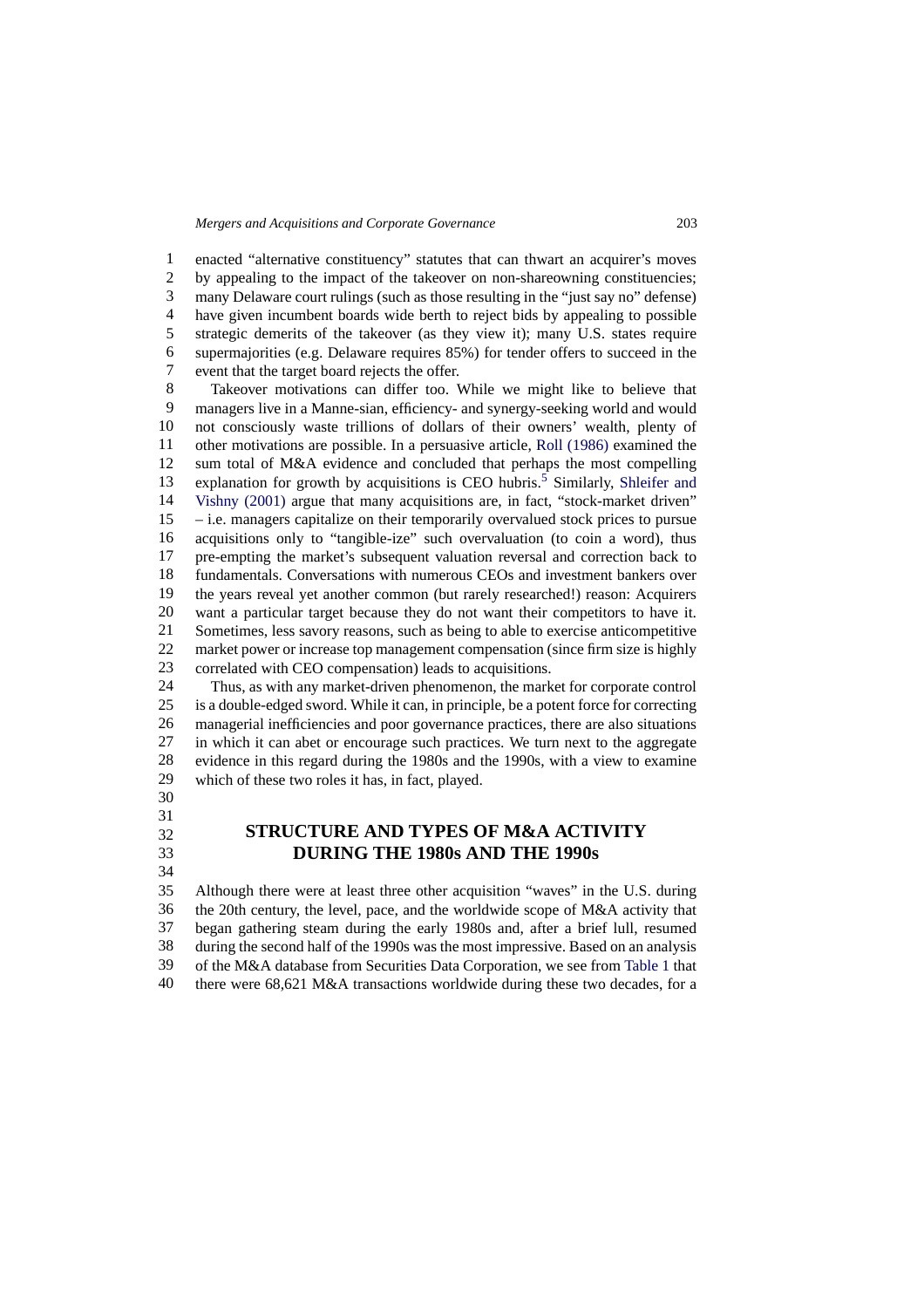1 2 3 4 5 6 7 enacted "alternative constituency" statutes that can thwart an acquirer's moves by appealing to the impact of the takeover on non-shareowning constituencies; many Delaware court rulings (such as those resulting in the "just say no" defense) have given incumbent boards wide berth to reject bids by appealing to possible strategic demerits of the takeover (as they view it); many U.S. states require supermajorities (e.g. Delaware requires 85%) for tender offers to succeed in the event that the target board rejects the offer.

8 9 10 11 12 13 14 15 16 17 18 19 20 21 22 23 Takeover motivations can differ too. While we might like to believe that managers live in a Manne-sian, efficiency- and synergy-seeking world and would not consciously waste trillions of dollars of their owners' wealth, plenty of other motivations are possible. In a persuasive article, [Roll \(1986\)](#page-26-0) examined the sum total of M&A evidence and concluded that perhaps the most compelling explanation for growth by acquisitions is CEO hubris.<sup>5</sup> [Sim](#page-23-0)ilarly, [Shleifer and](#page-26-0) [Vishny \(2001\)](#page-26-0) argue that many acquisitions are, in fact, "stock-market driven" – i.e. managers capitalize on their temporarily overvalued stock prices to pursue acquisitions only to "tangible-ize" such overvaluation (to coin a word), thus pre-empting the market's subsequent valuation reversal and correction back to fundamentals. Conversations with numerous CEOs and investment bankers over the years reveal yet another common (but rarely researched!) reason: Acquirers want a particular target because they do not want their competitors to have it. Sometimes, less savory reasons, such as being to able to exercise anticompetitive market power or increase top management compensation (since firm size is highly correlated with CEO compensation) leads to acquisitions.

24 25 26 27 28 29 Thus, as with any market-driven phenomenon, the market for corporate control is a double-edged sword. While it can, in principle, be a potent force for correcting managerial inefficiencies and poor governance practices, there are also situations in which it can abet or encourage such practices. We turn next to the aggregate evidence in this regard during the 1980s and the 1990s, with a view to examine which of these two roles it has, in fact, played.

- 30
- 31
- 32
- 33 34

# **STRUCTURE AND TYPES OF M&A ACTIVITY DURING THE 1980s AND THE 1990s**

35 36 37 38 39 40 Although there were at least three other acquisition "waves" in the U.S. during the 20th century, the level, pace, and the worldwide scope of M&A activity that began gathering steam during the early 1980s and, after a brief lull, resumed during the second half of the 1990s was the most impressive. Based on an analysis of the M&A database from Securities Data Corporation, we see from [Table 1](#page-7-0) that there were 68,621 M&A transactions worldwide during these two decades, for a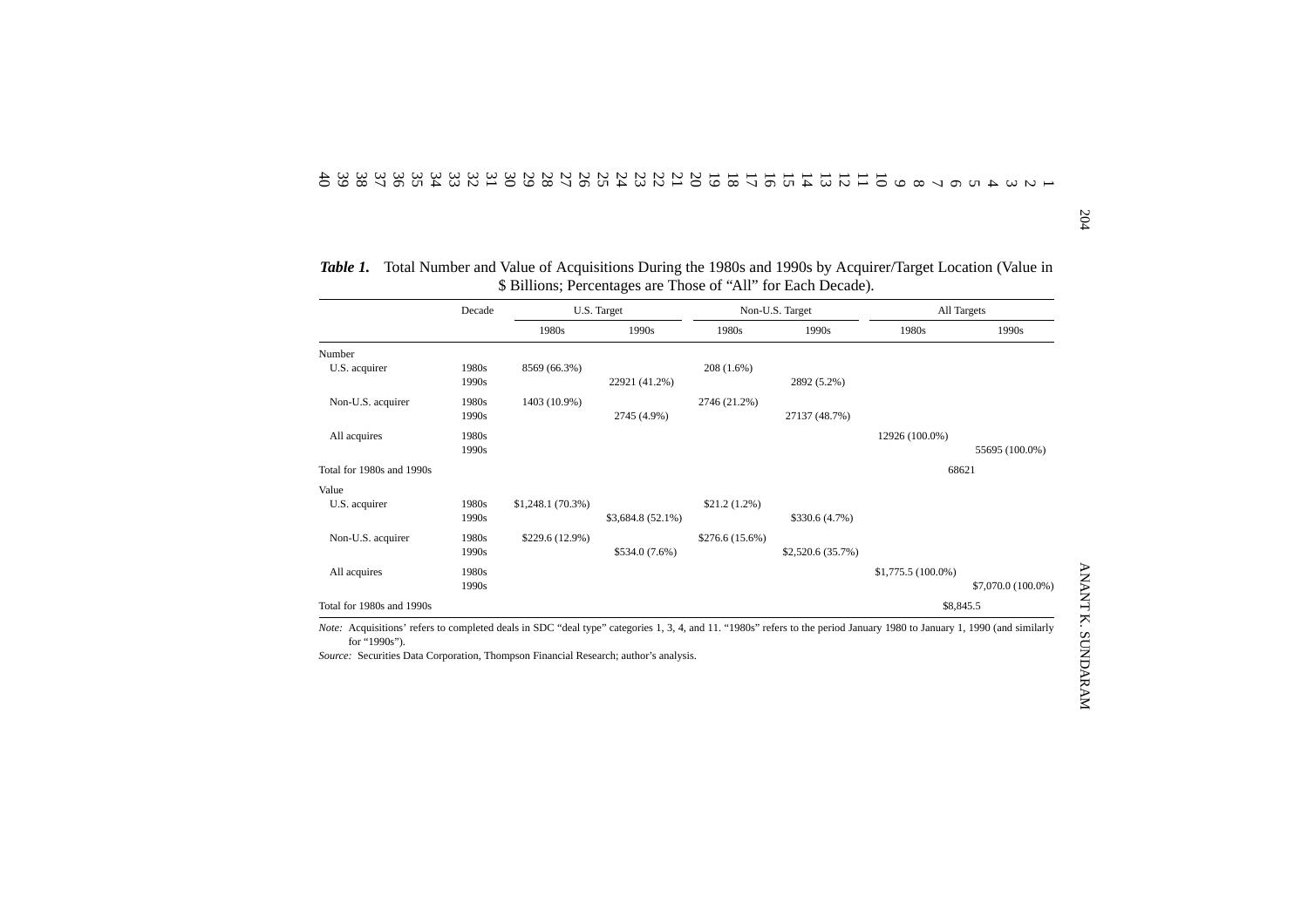<span id="page-7-0"></span>

|                           | Decade         | U.S. Target       |                   | Non-U.S. Target |                   | All Targets         |                    |  |
|---------------------------|----------------|-------------------|-------------------|-----------------|-------------------|---------------------|--------------------|--|
|                           |                | 1980s             | 1990s             | 1980s           | 1990s             | 1980s               | 1990s              |  |
| Number                    |                |                   |                   |                 |                   |                     |                    |  |
| U.S. acquirer             | 1980s<br>1990s | 8569 (66.3%)      | 22921 (41.2%)     | $208(1.6\%)$    | 2892 (5.2%)       |                     |                    |  |
| Non-U.S. acquirer         | 1980s<br>1990s | 1403 (10.9%)      | 2745 (4.9%)       | 2746 (21.2%)    | 27137 (48.7%)     |                     |                    |  |
| All acquires              | 1980s<br>1990s |                   |                   |                 |                   | 12926 (100.0%)      | 55695 (100.0%)     |  |
| Total for 1980s and 1990s |                |                   |                   |                 |                   | 68621               |                    |  |
| Value                     |                |                   |                   |                 |                   |                     |                    |  |
| U.S. acquirer             | 1980s<br>1990s | \$1,248.1 (70.3%) | \$3,684.8 (52.1%) | $$21.2(1.2\%)$  | \$330.6 (4.7%)    |                     |                    |  |
| Non-U.S. acquirer         | 1980s<br>1990s | \$229.6 (12.9%)   | \$534.0 (7.6%)    | \$276.6(15.6%)  | \$2,520.6 (35.7%) |                     |                    |  |
| All acquires              | 1980s<br>1990s |                   |                   |                 |                   | $$1,775.5(100.0\%)$ | \$7,070.0 (100.0%) |  |
| Total for 1980s and 1990s |                |                   |                   |                 |                   | \$8,845.5           |                    |  |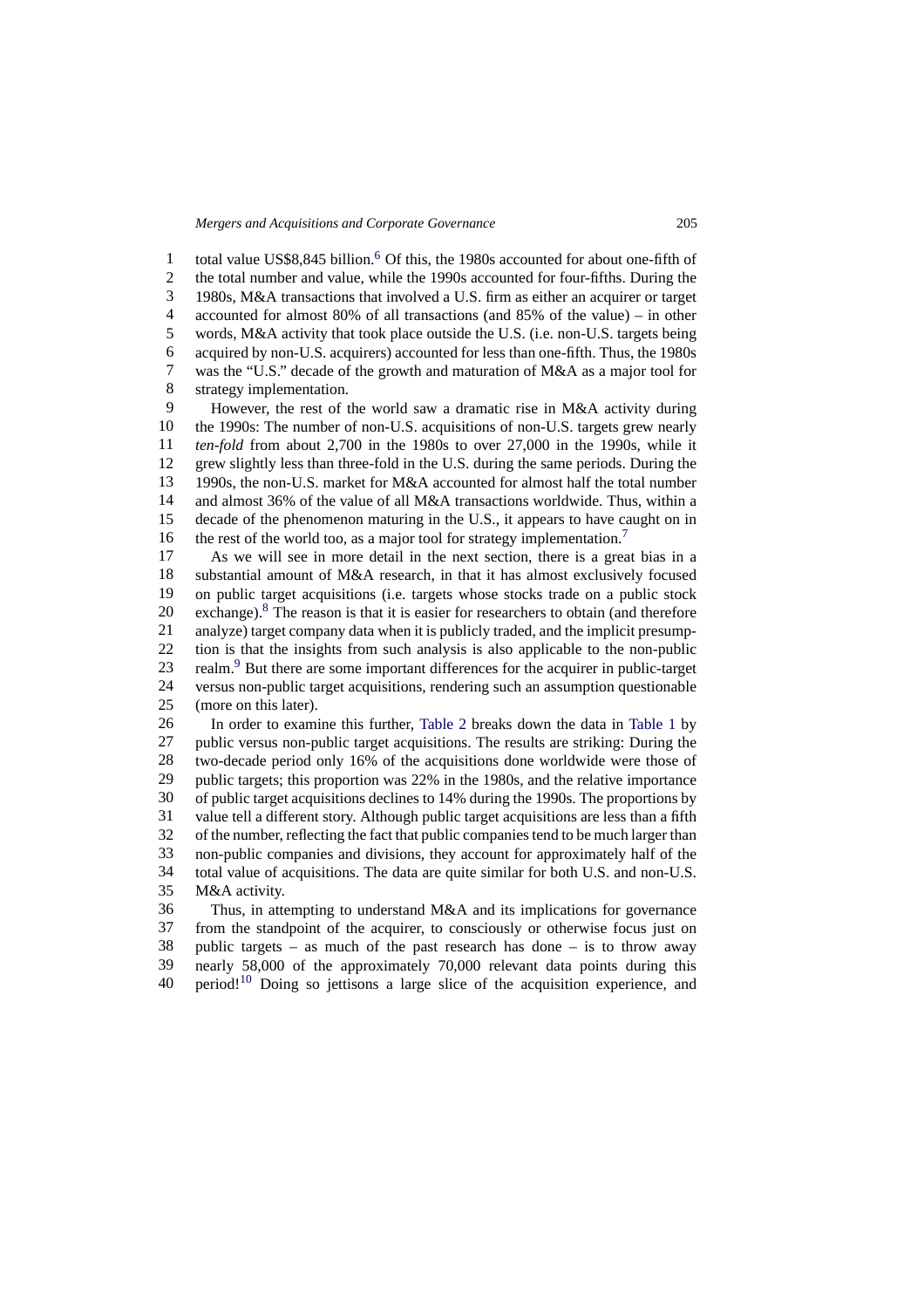1 2 3 4 5 6 7 8 total value US\$8,845 billion.<sup>6</sup> [Of](#page-23-0) this, the 1980s accounted for about one-fifth of the total number and value, while the 1990s accounted for four-fifths. During the 1980s, M&A transactions that involved a U.S. firm as either an acquirer or target accounted for almost 80% of all transactions (and 85% of the value) – in other words, M&A activity that took place outside the U.S. (i.e. non-U.S. targets being acquired by non-U.S. acquirers) accounted for less than one-fifth. Thus, the 1980s was the "U.S." decade of the growth and maturation of M&A as a major tool for strategy implementation.

9 10 11 12 13 14 15 16 However, the rest of the world saw a dramatic rise in M&A activity during the 1990s: The number of non-U.S. acquisitions of non-U.S. targets grew nearly *ten-fold* from about 2,700 in the 1980s to over 27,000 in the 1990s, while it grew slightly less than three-fold in the U.S. during the same periods. During the 1990s, the non-U.S. market for M&A accounted for almost half the total number and almost 36% of the value of all M&A transactions worldwide. Thus, within a decade of the phenomenon maturing in the U.S., it appears to have caught on in the rest of the world too, as a major tool for strategy implementation.<sup>[7](#page-23-0)</sup>

17 18 19 20 21 22 23 24 25 As we will see in more detail in the next section, there is a great bias in a substantial amount of M&A research, in that it has almost exclusively focused on public target acquisitions (i.e. targets whose stocks trade on a public stock exchange). $8$  [The](#page-23-0) reason is that it is easier for researchers to obtain (and therefore analyze) target company data when it is publicly traded, and the implicit presumption is that the insights from such analysis is also applicable to the non-public realm.<sup>9</sup> [But](#page-23-0) there are some important differences for the acquirer in public-target versus non-public target acquisitions, rendering such an assumption questionable (more on this later).

26 27 28 29 30 31 32 33 34 35 In order to examine this further, [Table 2](#page-9-0) breaks down the data in [Table 1](#page-7-0) by public versus non-public target acquisitions. The results are striking: During the two-decade period only 16% of the acquisitions done worldwide were those of public targets; this proportion was 22% in the 1980s, and the relative importance of public target acquisitions declines to 14% during the 1990s. The proportions by value tell a different story. Although public target acquisitions are less than a fifth of the number, reflecting the fact that public companies tend to be much larger than non-public companies and divisions, they account for approximately half of the total value of acquisitions. The data are quite similar for both U.S. and non-U.S. M&A activity.

36 37 38 39 40 Thus, in attempting to understand M&A and its implications for governance from the standpoint of the acquirer, to consciously or otherwise focus just on public targets – as much of the past research has done – is to throw away nearly 58,000 of the approximately 70,000 relevant data points during this period![10](#page-23-0) Doing so jettisons a large slice of the acquisition experience, and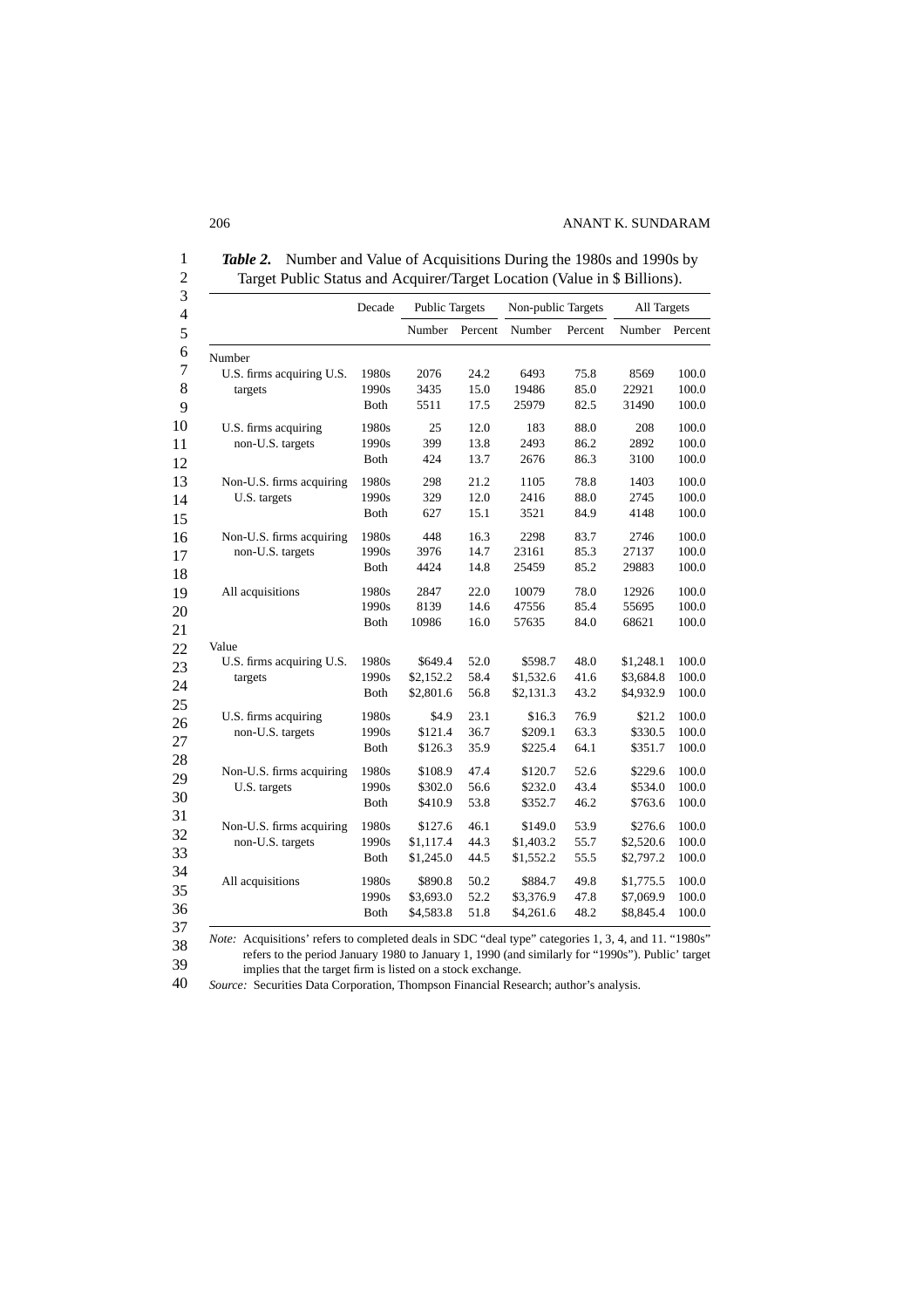|                           | Decade | <b>Public Targets</b> |         | Non-public Targets |         | All Targets |         |
|---------------------------|--------|-----------------------|---------|--------------------|---------|-------------|---------|
|                           |        | Number                | Percent | Number             | Percent | Number      | Percent |
| Number                    |        |                       |         |                    |         |             |         |
| U.S. firms acquiring U.S. | 1980s  | 2076                  | 24.2    | 6493               | 75.8    | 8569        | 100.0   |
| targets                   | 1990s  | 3435                  | 15.0    | 19486              | 85.0    | 22921       | 100.0   |
|                           | Both   | 5511                  | 17.5    | 25979              | 82.5    | 31490       | 100.0   |
| U.S. firms acquiring      | 1980s  | 25                    | 12.0    | 183                | 88.0    | 208         | 100.0   |
| non-U.S. targets          | 1990s  | 399                   | 13.8    | 2493               | 86.2    | 2892        | 100.0   |
|                           | Both   | 424                   | 13.7    | 2676               | 86.3    | 3100        | 100.0   |
| Non-U.S. firms acquiring  | 1980s  | 298                   | 21.2    | 1105               | 78.8    | 1403        | 100.0   |
| U.S. targets              | 1990s  | 329                   | 12.0    | 2416               | 88.0    | 2745        | 100.0   |
|                           | Both   | 627                   | 15.1    | 3521               | 84.9    | 4148        | 100.0   |
| Non-U.S. firms acquiring  | 1980s  | 448                   | 16.3    | 2298               | 83.7    | 2746        | 100.0   |
| non-U.S. targets          | 1990s  | 3976                  | 14.7    | 23161              | 85.3    | 27137       | 100.0   |
|                           | Both   | 4424                  | 14.8    | 25459              | 85.2    | 29883       | 100.0   |
| All acquisitions          | 1980s  | 2847                  | 22.0    | 10079              | 78.0    | 12926       | 100.0   |
|                           | 1990s  | 8139                  | 14.6    | 47556              | 85.4    | 55695       | 100.0   |
|                           | Both   | 10986                 | 16.0    | 57635              | 84.0    | 68621       | 100.0   |
| Value                     |        |                       |         |                    |         |             |         |
| U.S. firms acquiring U.S. | 1980s  | \$649.4               | 52.0    | \$598.7            | 48.0    | \$1,248.1   | 100.0   |
| targets                   | 1990s  | \$2,152.2             | 58.4    | \$1,532.6          | 41.6    | \$3,684.8   | 100.0   |
|                           | Both   | \$2,801.6             | 56.8    | \$2,131.3          | 43.2    | \$4,932.9   | 100.0   |
| U.S. firms acquiring      | 1980s  | \$4.9                 | 23.1    | \$16.3             | 76.9    | \$21.2      | 100.0   |
| non-U.S. targets          | 1990s  | \$121.4               | 36.7    | \$209.1            | 63.3    | \$330.5     | 100.0   |
|                           | Both   | \$126.3               | 35.9    | \$225.4            | 64.1    | \$351.7     | 100.0   |
| Non-U.S. firms acquiring  | 1980s  | \$108.9               | 47.4    | \$120.7            | 52.6    | \$229.6     | 100.0   |
| U.S. targets              | 1990s  | \$302.0               | 56.6    | \$232.0            | 43.4    | \$534.0     | 100.0   |
|                           | Both   | \$410.9               | 53.8    | \$352.7            | 46.2    | \$763.6     | 100.0   |
| Non-U.S. firms acquiring  | 1980s  | \$127.6               | 46.1    | \$149.0            | 53.9    | \$276.6     | 100.0   |
| non-U.S. targets          | 1990s  | \$1,117.4             | 44.3    | \$1,403.2          | 55.7    | \$2,520.6   | 100.0   |
|                           | Both   | \$1,245.0             | 44.5    | \$1,552.2          | 55.5    | \$2,797.2   | 100.0   |
| All acquisitions          | 1980s  | \$890.8               | 50.2    | \$884.7            | 49.8    | \$1,775.5   | 100.0   |
|                           | 1990s  | \$3,693.0             | 52.2    | \$3,376.9          | 47.8    | \$7,069.9   | 100.0   |
|                           | Both   | \$4,583.8             | 51.8    | \$4,261.6          | 48.2    | \$8,845.4   | 100.0   |

<span id="page-9-0"></span>

| <b>Table 2.</b> Number and Value of Acquisitions During the 1980s and 1990s by |  |
|--------------------------------------------------------------------------------|--|
| Target Public Status and Acquirer/Target Location (Value in \$ Billions).      |  |

38 39 *Note:* Acquisitions' refers to completed deals in SDC "deal type" categories 1, 3, 4, and 11. "1980s' refers to the period January 1980 to January 1, 1990 (and similarly for "1990s"). Public' target implies that the target firm is listed on a stock exchange.

40 *Source:* Securities Data Corporation, Thompson Financial Research; author's analysis.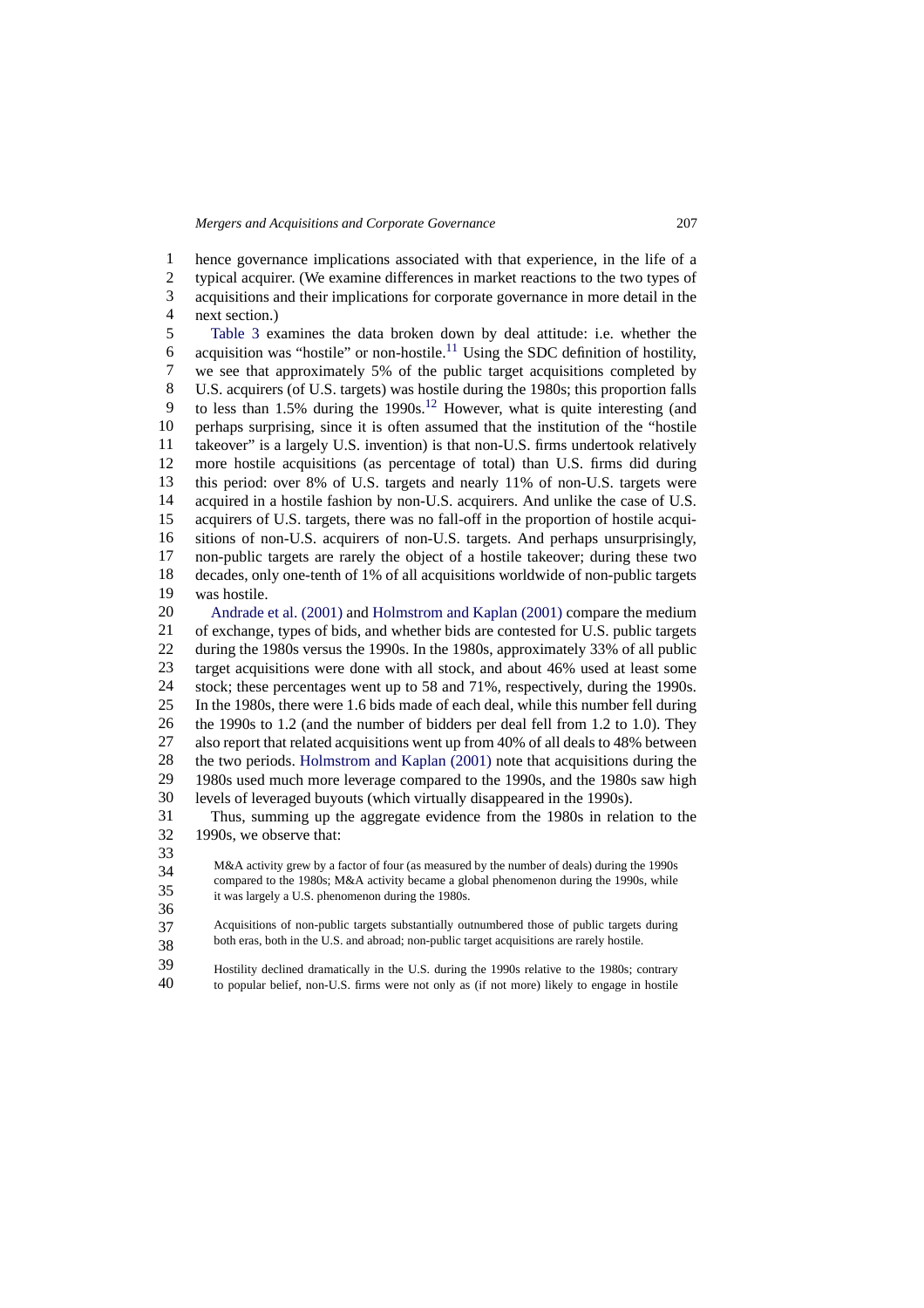hence governance implications associated with that experience, in the life of a

2 3 4 typical acquirer. (We examine differences in market reactions to the two types of acquisitions and their implications for corporate governance in more detail in the next section.)

5 6 7 8 9 10 11 12 13 14 15 16 17 18 19 [Table 3](#page-11-0) examines the data broken down by deal attitude: i.e. whether the acquisition was "hostile" or non-hostile.<sup>11</sup> [Us](#page-23-0)ing the SDC definition of hostility, we see that approximately 5% of the public target acquisitions completed by U.S. acquirers (of U.S. targets) was hostile during the 1980s; this proportion falls to less than  $1.5\%$  during the 1990s.<sup>12</sup> [Ho](#page-23-0)wever, what is quite interesting (and perhaps surprising, since it is often assumed that the institution of the "hostile takeover" is a largely U.S. invention) is that non-U.S. firms undertook relatively more hostile acquisitions (as percentage of total) than U.S. firms did during this period: over 8% of U.S. targets and nearly 11% of non-U.S. targets were acquired in a hostile fashion by non-U.S. acquirers. And unlike the case of U.S. acquirers of U.S. targets, there was no fall-off in the proportion of hostile acquisitions of non-U.S. acquirers of non-U.S. targets. And perhaps unsurprisingly, non-public targets are rarely the object of a hostile takeover; during these two decades, only one-tenth of 1% of all acquisitions worldwide of non-public targets was hostile.

20 21 22 23 24 25 26 27 28 29 30 [Andrade et al. \(2001\)](#page-24-0) and [Holmstrom and Kaplan \(2001\)](#page-25-0) compare the medium of exchange, types of bids, and whether bids are contested for U.S. public targets during the 1980s versus the 1990s. In the 1980s, approximately 33% of all public target acquisitions were done with all stock, and about 46% used at least some stock; these percentages went up to 58 and 71%, respectively, during the 1990s. In the 1980s, there were 1.6 bids made of each deal, while this number fell during the 1990s to 1.2 (and the number of bidders per deal fell from 1.2 to 1.0). They also report that related acquisitions went up from 40% of all deals to 48% between the two periods. [Holmstrom and Kaplan \(2001\)](#page-25-0) note that acquisitions during the 1980s used much more leverage compared to the 1990s, and the 1980s saw high levels of leveraged buyouts (which virtually disappeared in the 1990s).

31 32 Thus, summing up the aggregate evidence from the 1980s in relation to the 1990s, we observe that:

33

1

34 35 M&A activity grew by a factor of four (as measured by the number of deals) during the 1990s compared to the 1980s; M&A activity became a global phenomenon during the 1990s, while it was largely a U.S. phenomenon during the 1980s.

36

37 38 Acquisitions of non-public targets substantially outnumbered those of public targets during both eras, both in the U.S. and abroad; non-public target acquisitions are rarely hostile.

39 40 Hostility declined dramatically in the U.S. during the 1990s relative to the 1980s; contrary to popular belief, non-U.S. firms were not only as (if not more) likely to engage in hostile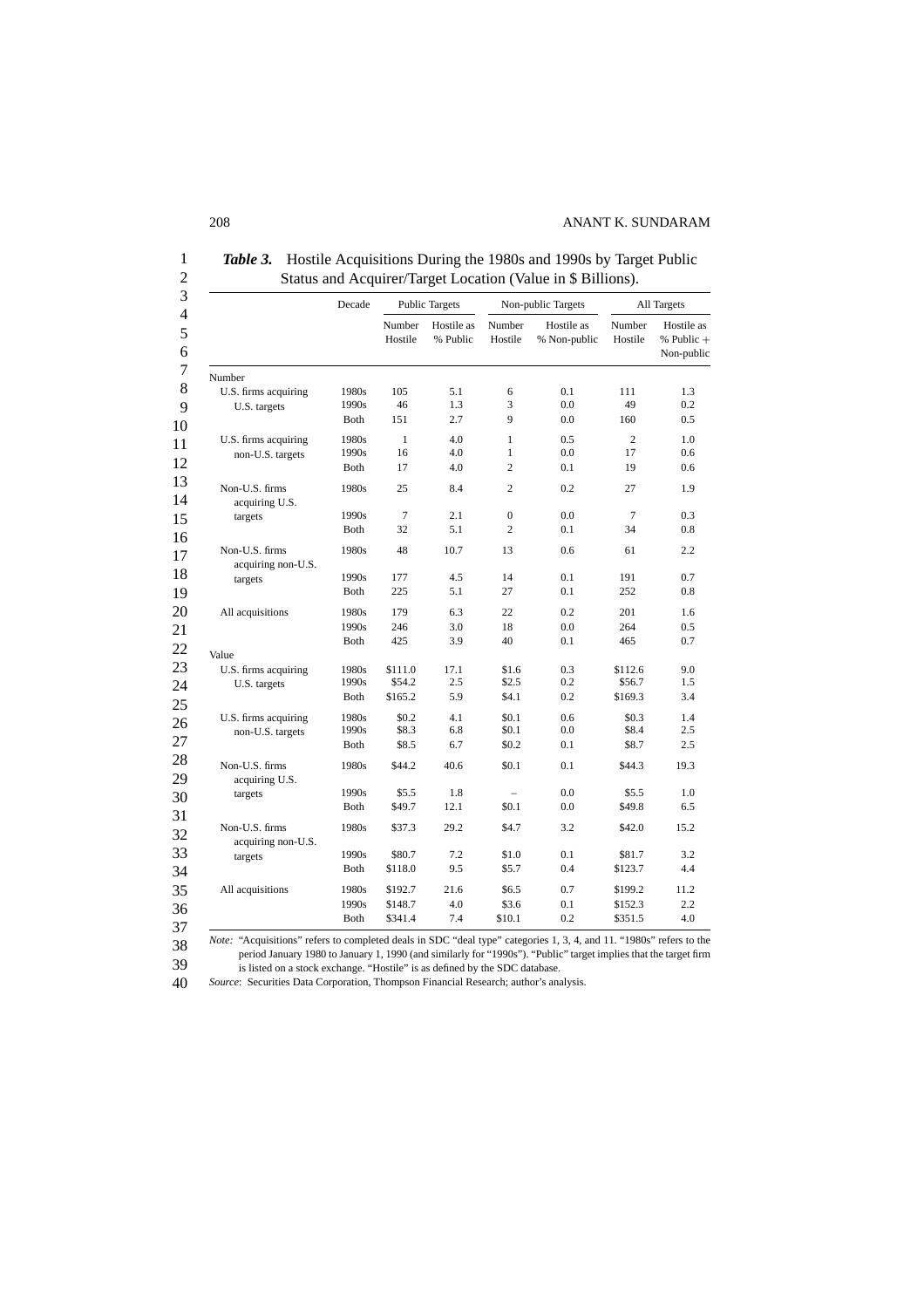<span id="page-11-0"></span>

|                                      | Decade |                   | <b>Public Targets</b>  |                   | Non-public Targets         |                   | All Targets                            |  |
|--------------------------------------|--------|-------------------|------------------------|-------------------|----------------------------|-------------------|----------------------------------------|--|
|                                      |        | Number<br>Hostile | Hostile as<br>% Public | Number<br>Hostile | Hostile as<br>% Non-public | Number<br>Hostile | Hostile as<br>% Public +<br>Non-public |  |
| Number                               |        |                   |                        |                   |                            |                   |                                        |  |
| U.S. firms acquiring                 | 1980s  | 105               | 5.1                    | 6                 | 0.1                        | 111               | 1.3                                    |  |
| U.S. targets                         | 1990s  | 46                | 1.3                    | 3                 | 0.0                        | 49                | 0.2                                    |  |
|                                      | Both   | 151               | 2.7                    | 9                 | 0.0                        | 160               | 0.5                                    |  |
| U.S. firms acquiring                 | 1980s  | $\mathbf{1}$      | 4.0                    | $\mathbf{1}$      | 0.5                        | $\overline{2}$    | 1.0                                    |  |
| non-U.S. targets                     | 1990s  | 16                | 4.0                    | $\mathbf{1}$      | 0.0                        | 17                | 0.6                                    |  |
|                                      | Both   | 17                | 4.0                    | $\overline{c}$    | 0.1                        | 19                | 0.6                                    |  |
| Non-U.S. firms<br>acquiring U.S.     | 1980s  | 25                | 8.4                    | $\overline{c}$    | 0.2                        | 27                | 1.9                                    |  |
| targets                              | 1990s  | $\tau$            | 2.1                    | $\boldsymbol{0}$  | 0.0                        | $\overline{7}$    | 0.3                                    |  |
|                                      | Both   | 32                | 5.1                    | $\overline{c}$    | 0.1                        | 34                | 0.8                                    |  |
| Non-U.S. firms<br>acquiring non-U.S. | 1980s  | 48                | 10.7                   | 13                | 0.6                        | 61                | 2.2                                    |  |
| targets                              | 1990s  | 177               | 4.5                    | 14                | 0.1                        | 191               | 0.7                                    |  |
|                                      | Both   | 225               | 5.1                    | 27                | 0.1                        | 252               | 0.8                                    |  |
| All acquisitions                     | 1980s  | 179               | 6.3                    | 22                | 0.2                        | 201               | 1.6                                    |  |
|                                      | 1990s  | 246               | 3.0                    | 18                | 0.0                        | 264               | 0.5                                    |  |
|                                      | Both   | 425               | 3.9                    | 40                | 0.1                        | 465               | 0.7                                    |  |
| Value                                |        |                   |                        |                   |                            |                   |                                        |  |
| U.S. firms acquiring                 | 1980s  | \$111.0           | 17.1                   | \$1.6             | 0.3                        | \$112.6           | 9.0                                    |  |
| U.S. targets                         | 1990s  | \$54.2            | 2.5                    | \$2.5             | 0.2                        | \$56.7            | 1.5                                    |  |
|                                      | Both   | \$165.2           | 5.9                    | \$4.1             | 0.2                        | \$169.3           | 3.4                                    |  |
| U.S. firms acquiring                 | 1980s  | \$0.2             | 4.1                    | \$0.1             | 0.6                        | \$0.3             | 1.4                                    |  |
| non-U.S. targets                     | 1990s  | \$8.3             | 6.8                    | \$0.1             | 0.0                        | \$8.4             | 2.5                                    |  |
|                                      | Both   | \$8.5             | 6.7                    | \$0.2             | 0.1                        | \$8.7             | 2.5                                    |  |
| Non-U.S. firms<br>acquiring U.S.     | 1980s  | \$44.2            | 40.6                   | \$0.1             | 0.1                        | \$44.3            | 19.3                                   |  |
| targets                              | 1990s  | \$5.5             | 1.8                    |                   | 0.0                        | \$5.5             | 1.0                                    |  |
|                                      | Both   | \$49.7            | 12.1                   | \$0.1             | 0.0                        | \$49.8            | 6.5                                    |  |
| Non-U.S. firms<br>acquiring non-U.S. | 1980s  | \$37.3            | 29.2                   | \$4.7             | 3.2                        | \$42.0            | 15.2                                   |  |
| targets                              | 1990s  | \$80.7            | 7.2                    | \$1.0             | 0.1                        | \$81.7            | 3.2                                    |  |
|                                      | Both   | \$118.0           | 9.5                    | \$5.7             | 0.4                        | \$123.7           | 4.4                                    |  |
| All acquisitions                     | 1980s  | \$192.7           | 21.6                   | \$6.5             | 0.7                        | \$199.2           | 11.2                                   |  |
|                                      | 1990s  | \$148.7           | 4.0                    | \$3.6             | 0.1                        | \$152.3           | 2.2                                    |  |
|                                      |        |                   | 7.4                    |                   | 0.2                        |                   | 4.0                                    |  |

| <b>Table 3.</b> Hostile Acquisitions During the 1980s and 1990s by Target Public |
|----------------------------------------------------------------------------------|
| Status and Acquirer/Target Location (Value in \$ Billions).                      |

38 39 *Note:* "Acquisitions" refers to completed deals in SDC "deal type" categories 1, 3, 4, and 11. "1980s" refers to the period January 1980 to January 1, 1990 (and similarly for "1990s"). "Public" target implies that the target firm is listed on a stock exchange. "Hostile" is as defined by the SDC database.

40 *Source*: Securities Data Corporation, Thompson Financial Research; author's analysis.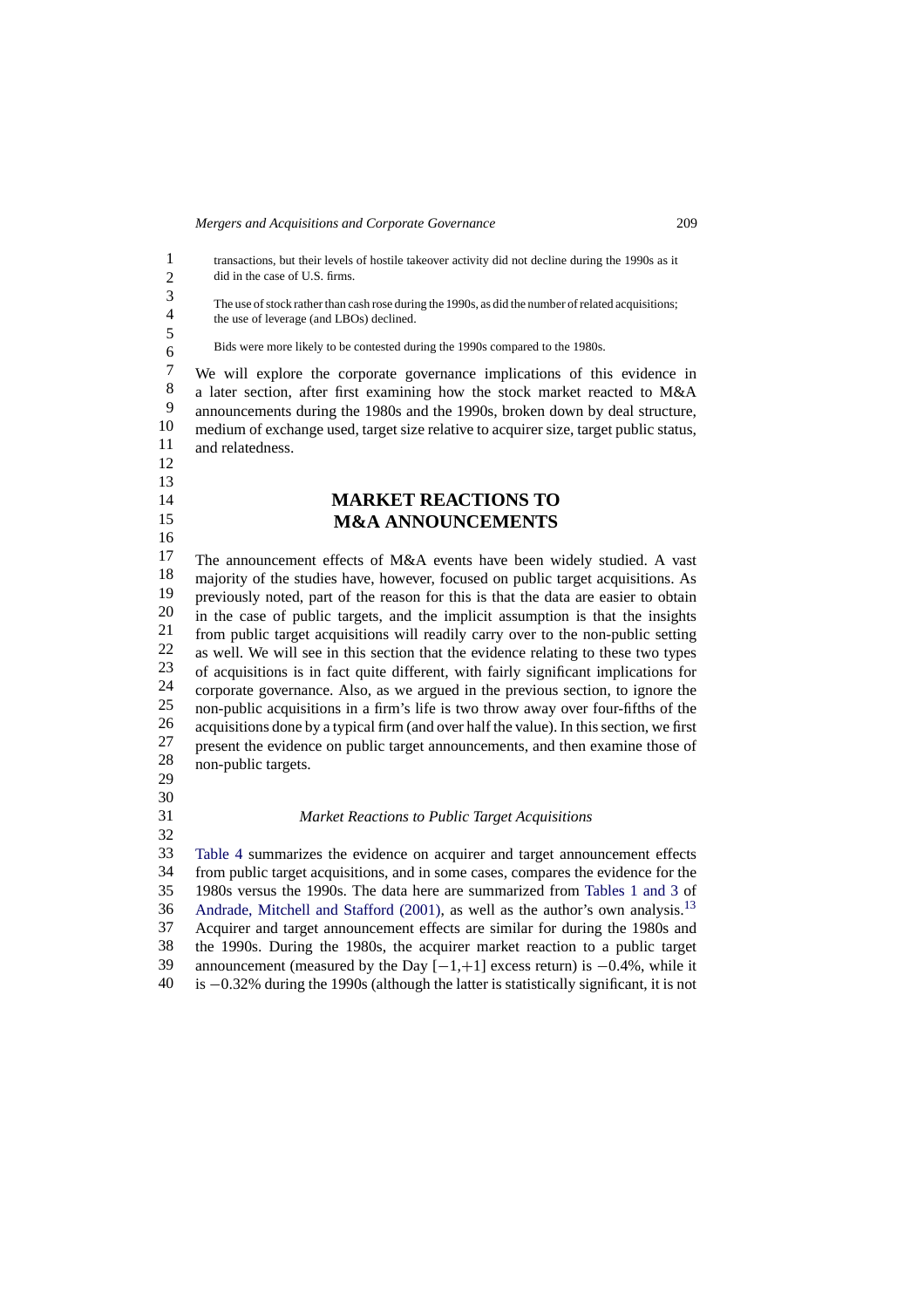1 2 3 4 5 6 7 8 9 10 11 12 13 14 15 16 17 18 19 20 21 22 23 24 25 26 27 28 29 30 31 32 33 34 35 transactions, but their levels of hostile takeover activity did not decline during the 1990s as it did in the case of U.S. firms. The use of stock rather than cash rose during the 1990s, as did the number of related acquisitions; the use of leverage (and LBOs) declined. Bids were more likely to be contested during the 1990s compared to the 1980s. We will explore the corporate governance implications of this evidence in a later section, after first examining how the stock market reacted to M&A announcements during the 1980s and the 1990s, broken down by deal structure, medium of exchange used, target size relative to acquirer size, target public status, and relatedness. **MARKET REACTIONS TO M&A ANNOUNCEMENTS** The announcement effects of M&A events have been widely studied. A vast majority of the studies have, however, focused on public target acquisitions. As previously noted, part of the reason for this is that the data are easier to obtain in the case of public targets, and the implicit assumption is that the insights from public target acquisitions will readily carry over to the non-public setting as well. We will see in this section that the evidence relating to these two types of acquisitions is in fact quite different, with fairly significant implications for corporate governance. Also, as we argued in the previous section, to ignore the non-public acquisitions in a firm's life is two throw away over four-fifths of the acquisitions done by a typical firm (and over half the value). In this section, we first present the evidence on public target announcements, and then examine those of non-public targets. *Market Reactions to Public Target Acquisitions* [Table 4](#page-13-0) summarizes the evidence on acquirer and target announcement effects from public target acquisitions, and in some cases, compares the evidence for the 1980s versus the 1990s. The data here are summarized from [Tables 1 and 3](#page-7-0) of

37 38 39 Acquirer and target announcement effects are similar for during the 1980s and the 1990s. During the 1980s, the acquirer market reaction to a public target announcement (measured by the Day  $[-1, +1]$  excess return) is  $-0.4\%$ , while it

Andrade, Mitchell and Stafford  $(2001)$ , as well as the author's own analysis.<sup>[13](#page-23-0)</sup>

36

40 is −0.32% during the 1990s (although the latter is statistically significant, it is not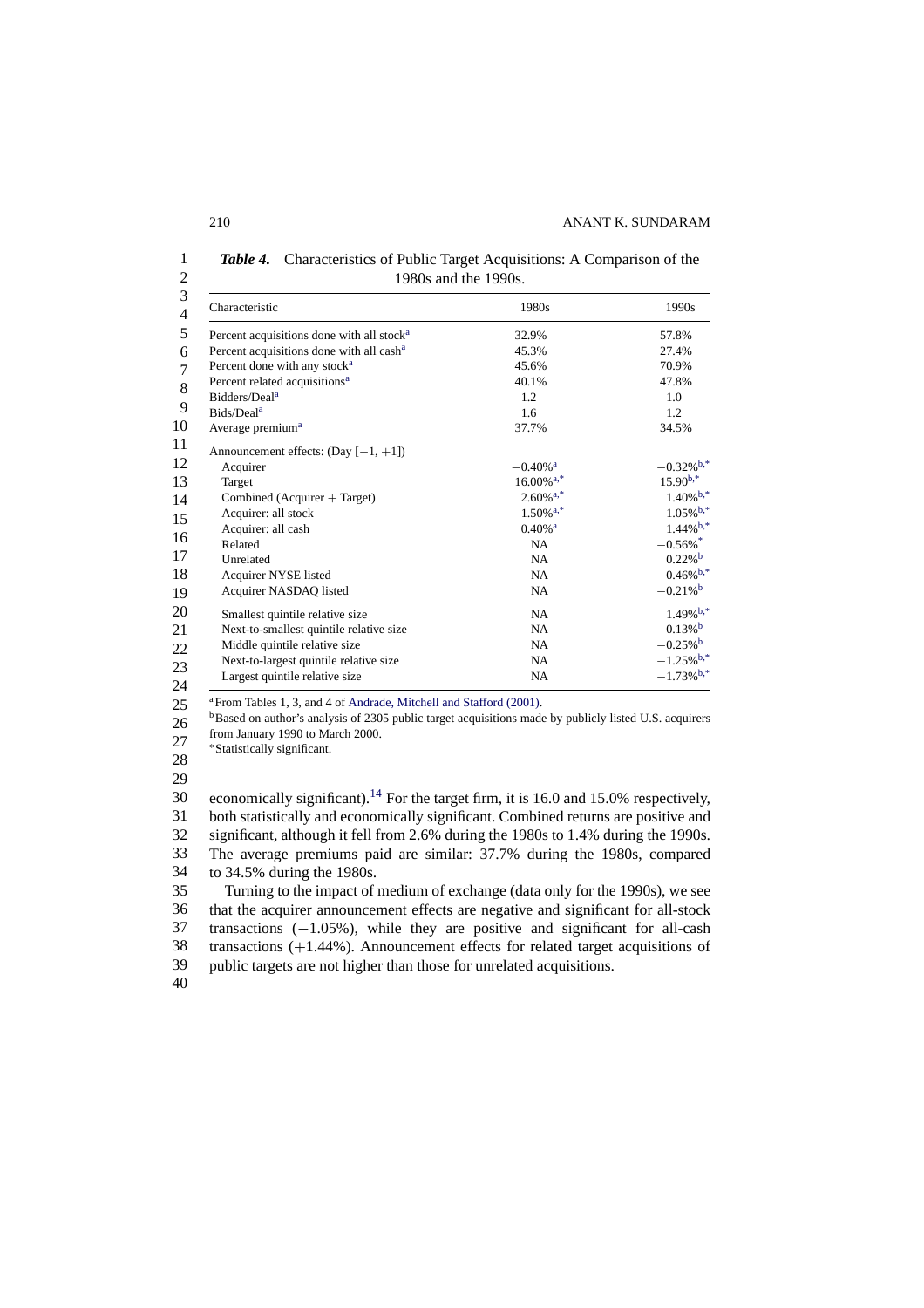<span id="page-13-0"></span>

| 3<br>$\overline{4}$ | Characteristic                                        | 1980s                    | 1990s                                |
|---------------------|-------------------------------------------------------|--------------------------|--------------------------------------|
| 5                   | Percent acquisitions done with all stock <sup>a</sup> | 32.9%                    | 57.8%                                |
| 6                   | Percent acquisitions done with all cash <sup>a</sup>  | 45.3%                    | 27.4%                                |
| 7                   | Percent done with any stock <sup>a</sup>              | 45.6%                    | 70.9%                                |
| 8                   | Percent related acquisitions <sup>a</sup>             | 40.1%                    | 47.8%                                |
|                     | Bidders/Deal <sup>a</sup>                             | 1.2                      | 1.0                                  |
| 9                   | Bids/Deal <sup>a</sup>                                | 1.6                      | 1.2                                  |
| 10                  | Average premium <sup>a</sup>                          | 37.7%                    | 34.5%                                |
| 11                  | Announcement effects: $(Day [-1, +1])$                |                          |                                      |
| 12                  | Acquirer                                              | $-0.40\%$ <sup>a</sup>   | $-0.32\%$ $^{\mathrm{b},\mathrm{*}}$ |
| 13                  | Target                                                | $16.00\%$ <sup>a,*</sup> | $15.90^{b,*}$                        |
| 14                  | Combined (Acquirer $+$ Target)                        | $2.60\%$ <sup>a,*</sup>  | $1.40\%$ <sup>b,*</sup>              |
| 15                  | Acquirer: all stock                                   | $-1.50\%$ <sup>a,*</sup> | $-1.05\%$ <sup>b,*</sup>             |
|                     | Acquirer: all cash                                    | $0.40\%$ <sup>a</sup>    | $1.44\%$ <sup>b,*</sup>              |
| 16                  | Related                                               | NA.                      | $-0.56\%$ $^*$                       |
| 17                  | Unrelated                                             | <b>NA</b>                | $0.22\%$ <sup>b</sup>                |
| 18                  | Acquirer NYSE listed                                  | <b>NA</b>                | $-0.46\%$ <sup>b,*</sup>             |
| 19                  | Acquirer NASDAQ listed                                | NA.                      | $-0.21\%$ <sup>b</sup>               |
| 20                  | Smallest quintile relative size                       | <b>NA</b>                | $1.49\%$ <sup>b,*</sup>              |
| 21                  | Next-to-smallest quintile relative size               | NA.                      | $0.13\%$ <sup>b</sup>                |
| 22                  | Middle quintile relative size                         | NA.                      | $-0.25%$ <sup>b</sup>                |
| 23                  | Next-to-largest quintile relative size                | NA.                      | $-1.25\%$ <sup>b,*</sup>             |
| 24                  | Largest quintile relative size                        | <b>NA</b>                | $-1.73\%$ <sup>b,*</sup>             |

*Table 4.* Characteristics of Public Target Acquisitions: A Comparison of the 1980s and the 1990s.

25 <sup>a</sup> From Tables 1, 3, and 4 of [Andrade, Mitchell and Stafford \(2001\).](#page-24-0)

26 27 <sup>b</sup>Based on author's analysis of 2305 public target acquisitions made by publicly listed U.S. acquirers from January 1990 to March 2000.

28 ∗Statistically significant.

29

30 31 32 33 34 economically significant).<sup>14</sup> [Fo](#page-23-0)r the target firm, it is 16.0 and 15.0% respectively, both statistically and economically significant. Combined returns are positive and significant, although it fell from 2.6% during the 1980s to 1.4% during the 1990s. The average premiums paid are similar: 37.7% during the 1980s, compared to 34.5% during the 1980s.

35 36 37 38 39 Turning to the impact of medium of exchange (data only for the 1990s), we see that the acquirer announcement effects are negative and significant for all-stock transactions  $(-1.05\%)$ , while they are positive and significant for all-cash transactions (+1.44%). Announcement effects for related target acquisitions of public targets are not higher than those for unrelated acquisitions.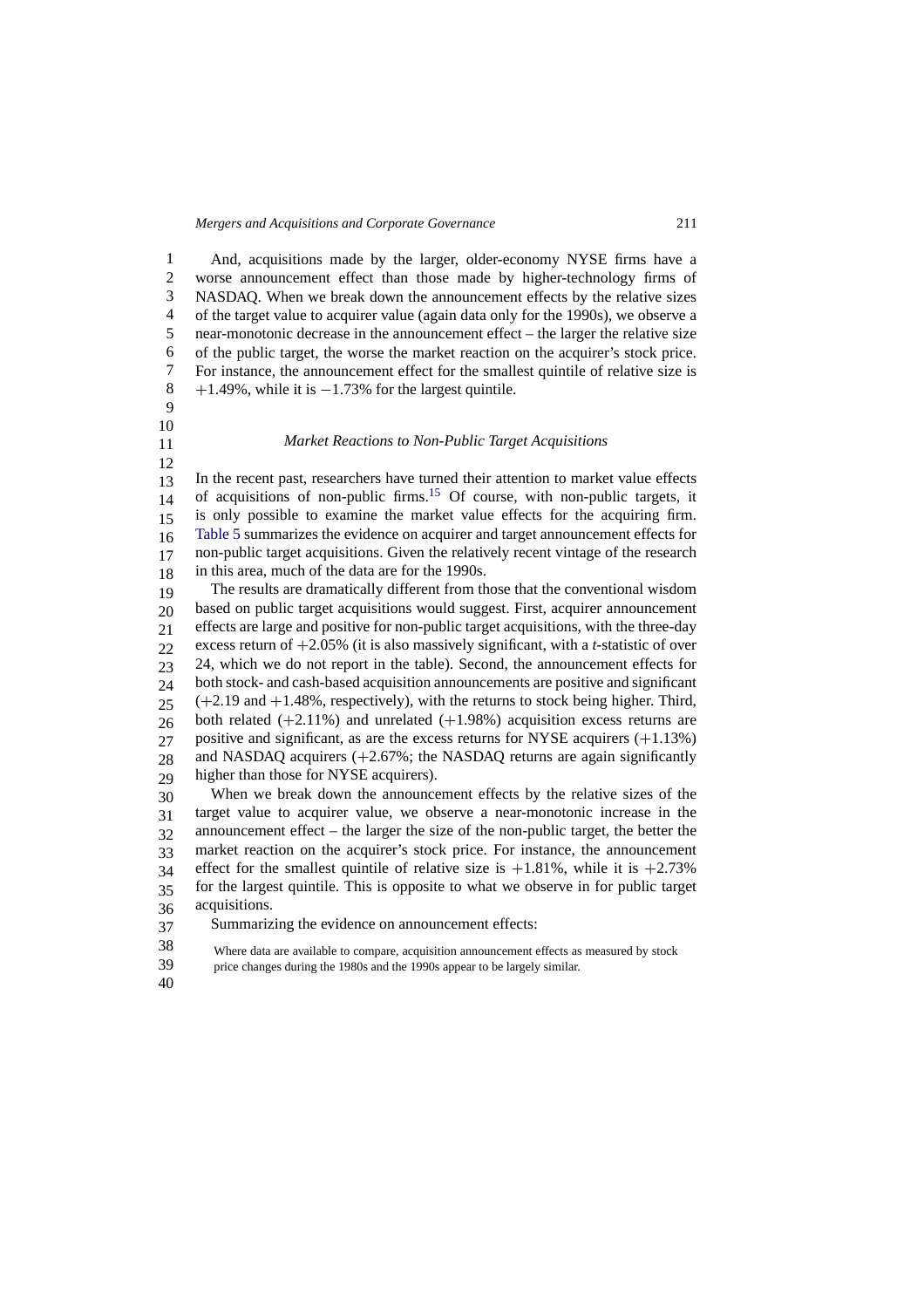1 2 3 4 5 6 7 8 And, acquisitions made by the larger, older-economy NYSE firms have a worse announcement effect than those made by higher-technology firms of NASDAQ. When we break down the announcement effects by the relative sizes of the target value to acquirer value (again data only for the 1990s), we observe a near-monotonic decrease in the announcement effect – the larger the relative size of the public target, the worse the market reaction on the acquirer's stock price. For instance, the announcement effect for the smallest quintile of relative size is  $+1.49\%$ , while it is  $-1.73\%$  for the largest quintile.

- 9
- 10 11 12

#### *Market Reactions to Non-Public Target Acquisitions*

13 14 15 16 17 18 In the recent past, researchers have turned their attention to market value effects of acquisitions of non-public firms.<sup>15</sup> [O](#page-23-0)f course, with non-public targets, it is only possible to examine the market value effects for the acquiring firm. [Table 5](#page-15-0) summarizes the evidence on acquirer and target announcement effects for non-public target acquisitions. Given the relatively recent vintage of the research in this area, much of the data are for the 1990s.

19 20 21 22 23 24 25 26 27 28 29 The results are dramatically different from those that the conventional wisdom based on public target acquisitions would suggest. First, acquirer announcement effects are large and positive for non-public target acquisitions, with the three-day excess return of +2.05% (it is also massively significant, with a *t*-statistic of over 24, which we do not report in the table). Second, the announcement effects for both stock- and cash-based acquisition announcements are positive and significant  $(+2.19 \text{ and } +1.48\%$ , respectively), with the returns to stock being higher. Third, both related  $(+2.11\%)$  and unrelated  $(+1.98\%)$  acquisition excess returns are positive and significant, as are the excess returns for NYSE acquirers  $(+1.13\%)$ and NASDAQ acquirers (+2.67%; the NASDAQ returns are again significantly higher than those for NYSE acquirers).

30 31 32 33 34 35 36 When we break down the announcement effects by the relative sizes of the target value to acquirer value, we observe a near-monotonic increase in the announcement effect – the larger the size of the non-public target, the better the market reaction on the acquirer's stock price. For instance, the announcement effect for the smallest quintile of relative size is  $+1.81\%$ , while it is  $+2.73\%$ for the largest quintile. This is opposite to what we observe in for public target acquisitions.

37 Summarizing the evidence on announcement effects:

38 Where data are available to compare, acquisition announcement effects as measured by stock

- 39 price changes during the 1980s and the 1990s appear to be largely similar.
- 40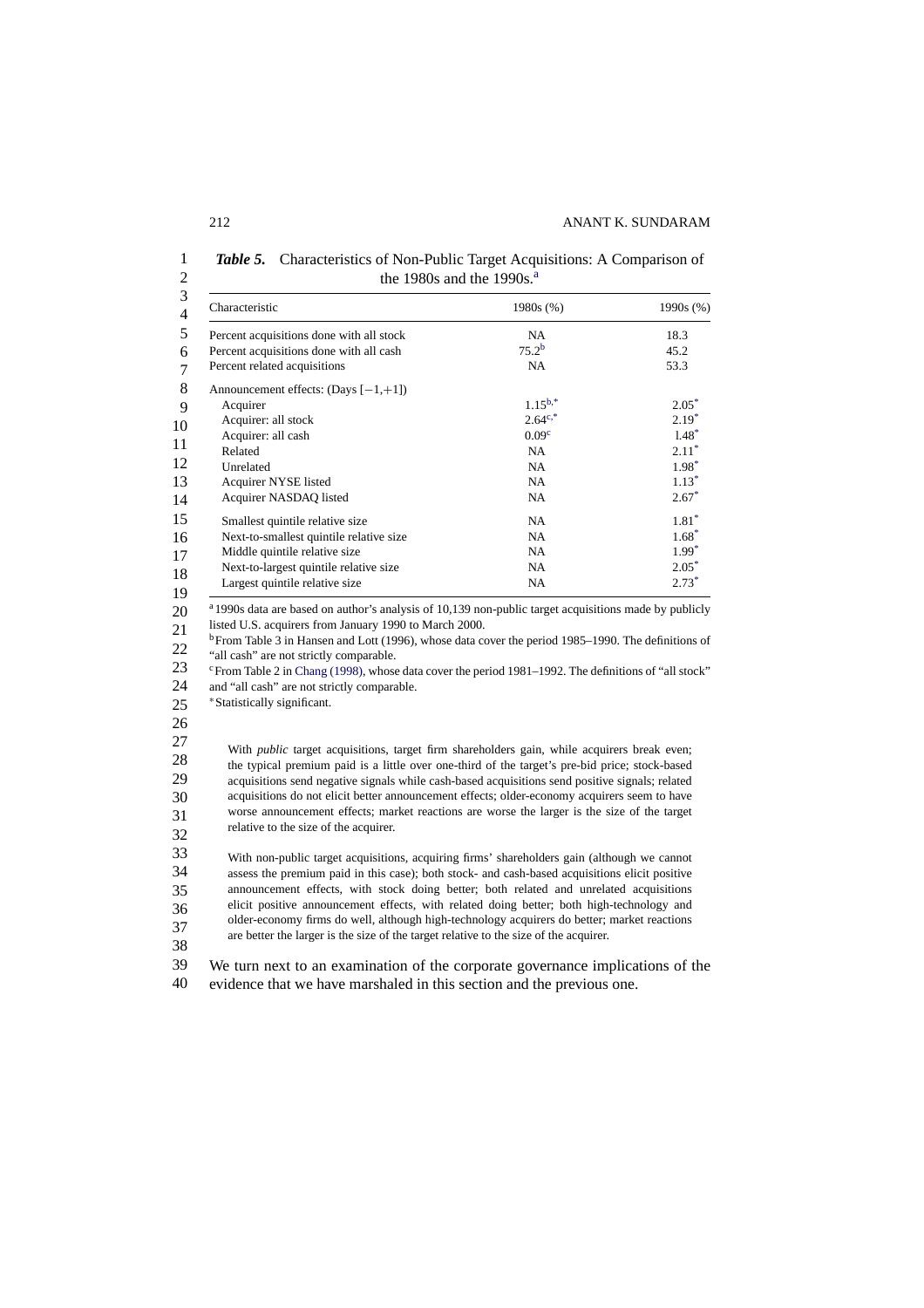| the 1980s and the 1990s. <sup>a</sup>    |              |           |
|------------------------------------------|--------------|-----------|
| Characteristic                           | 1980s(%)     | 1990s (%) |
| Percent acquisitions done with all stock | NA           | 18.3      |
| Percent acquisitions done with all cash  | $75.2^{b}$   | 45.2      |
| Percent related acquisitions             | NA           | 53.3      |
| Announcement effects: $(Days [-1,+1])$   |              |           |
| Acquirer                                 | $1.15^{b,*}$ | 2.05      |

*Table 5.* Characteristics of Non-Public Target Acquisitions: A Comparison of  $1990s$ .<sup>a</sup>

Acquirer  $1.15^{b,*}$   $2.05^*$ Acquirer: all stock  $2.64^{\circ,*}$   $2.19^*$ Acquirer: all cash  $0.09^{\circ}$  and  $1.48^*$ Related  $NA$  2.11<sup>\*</sup> Unrelated NA 1.98<sup>\*</sup> Acquirer NYSE listed NA 1.13<sup>\*</sup> Acquirer NASDAO listed NA 2.67<sup>\*</sup> 2.67<sup>\*</sup> Smallest quintile relative size  $NA$  1.81<sup>\*</sup> Next-to-smallest quintile relative size NA 1.68\* Middle quintile relative size  $NA$  1.99<sup>\*</sup>

| 18 | Next-to-largest quintile relative size.                                                                          | NA | $2.05^*$       |
|----|------------------------------------------------------------------------------------------------------------------|----|----------------|
| 19 | Largest quintile relative size                                                                                   | NA | $2.73^{\circ}$ |
| 20 | <sup>a</sup> 1990s data are based on author's analysis of 10,139 non-public target acquisitions made by publicly |    |                |

21 listed U.S. acquirers from January 1990 to March 2000.  $b$ From Table 3 in Hansen and Lott (1996), whose data cover the period 1985–1990. The definitions of

22 23 "all cash" are not strictly comparable.

 $c$ From Table 2 in [Chang \(1998\), w](#page-25-0)hose data cover the period 1981–1992. The definitions of "all stock"

24 and "all cash" are not strictly comparable.

25 ∗Statistically significant.

26

27 28 29 30 31 32 With *public* target acquisitions, target firm shareholders gain, while acquirers break even; the typical premium paid is a little over one-third of the target's pre-bid price; stock-based acquisitions send negative signals while cash-based acquisitions send positive signals; related acquisitions do not elicit better announcement effects; older-economy acquirers seem to have worse announcement effects; market reactions are worse the larger is the size of the target relative to the size of the acquirer.

33

34 35 36 37 With non-public target acquisitions, acquiring firms' shareholders gain (although we cannot assess the premium paid in this case); both stock- and cash-based acquisitions elicit positive announcement effects, with stock doing better; both related and unrelated acquisitions elicit positive announcement effects, with related doing better; both high-technology and older-economy firms do well, although high-technology acquirers do better; market reactions are better the larger is the size of the target relative to the size of the acquirer.

38

39 40 We turn next to an examination of the corporate governance implications of the evidence that we have marshaled in this section and the previous one.

<span id="page-15-0"></span>1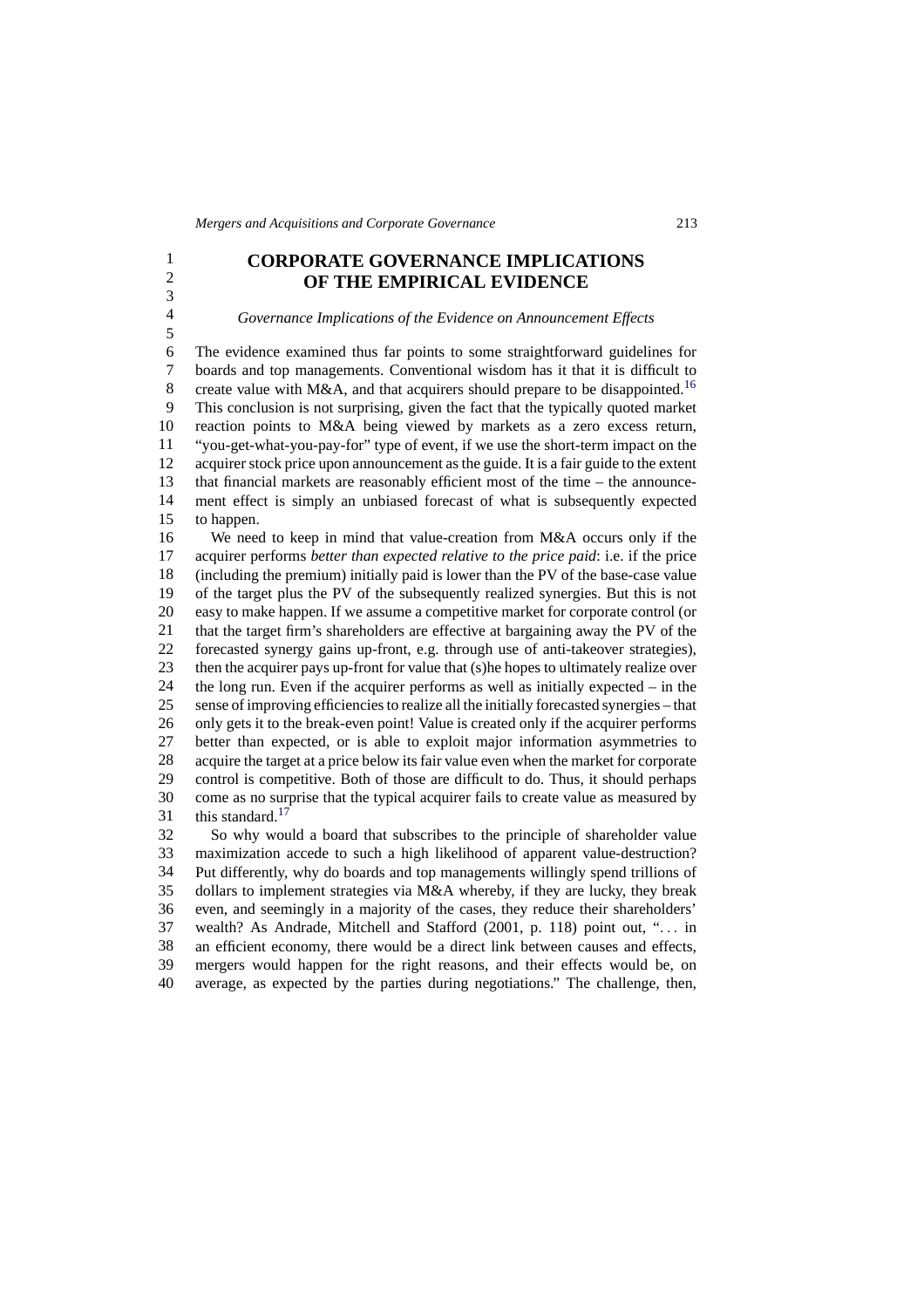# **CORPORATE GOVERNANCE IMPLICATIONS OF THE EMPIRICAL EVIDENCE**

#### *Governance Implications of the Evidence on Announcement Effects*

6 7 8 9 10 11 12 13 14 15 The evidence examined thus far points to some straightforward guidelines for boards and top managements. Conventional wisdom has it that it is difficult to create value with M&A, and that acquirers should prepare to be disappointed.<sup>[16](#page-23-0)</sup> This conclusion is not surprising, given the fact that the typically quoted market reaction points to M&A being viewed by markets as a zero excess return, "you-get-what-you-pay-for" type of event, if we use the short-term impact on the acquirer stock price upon announcement as the guide. It is a fair guide to the extent that financial markets are reasonably efficient most of the time – the announcement effect is simply an unbiased forecast of what is subsequently expected to happen.

16 17 18 19 20 21 22 23 24 25 26 27 28 29 30 31 We need to keep in mind that value-creation from M&A occurs only if the acquirer performs *better than expected relative to the price paid*: i.e. if the price (including the premium) initially paid is lower than the PV of the base-case value of the target plus the PV of the subsequently realized synergies. But this is not easy to make happen. If we assume a competitive market for corporate control (or that the target firm's shareholders are effective at bargaining away the PV of the forecasted synergy gains up-front, e.g. through use of anti-takeover strategies), then the acquirer pays up-front for value that (s)he hopes to ultimately realize over the long run. Even if the acquirer performs as well as initially expected – in the sense of improving efficiencies to realize all the initially forecasted synergies – that only gets it to the break-even point! Value is created only if the acquirer performs better than expected, or is able to exploit major information asymmetries to acquire the target at a price below its fair value even when the market for corporate control is competitive. Both of those are difficult to do. Thus, it should perhaps come as no surprise that the typical acquirer fails to create value as measured by this standard.<sup>[17](#page-23-0)</sup>

32 33 34 35 36 37 38 39 40 So why would a board that subscribes to the principle of shareholder value maximization accede to such a high likelihood of apparent value-destruction? Put differently, why do boards and top managements willingly spend trillions of dollars to implement strategies via M&A whereby, if they are lucky, they break even, and seemingly in a majority of the cases, they reduce their shareholders' wealth? As Andrade, Mitchell and Stafford (2001, p. 118) point out, "... in an efficient economy, there would be a direct link between causes and effects, mergers would happen for the right reasons, and their effects would be, on average, as expected by the parties during negotiations." The challenge, then,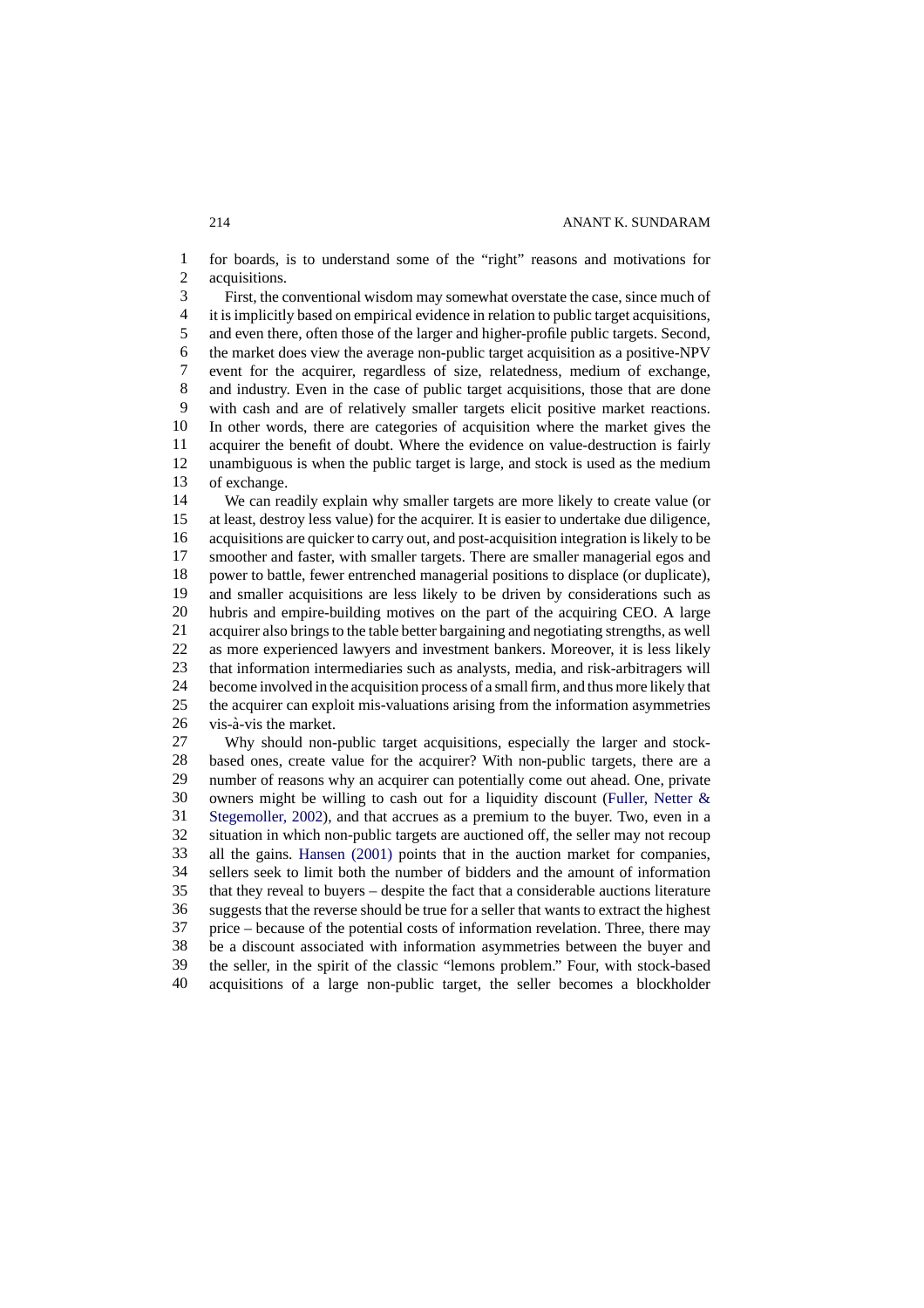1 2 for boards, is to understand some of the "right" reasons and motivations for acquisitions.

3 4 5 6 7 8 9 10 11 12 13 First, the conventional wisdom may somewhat overstate the case, since much of it is implicitly based on empirical evidence in relation to public target acquisitions, and even there, often those of the larger and higher-profile public targets. Second, the market does view the average non-public target acquisition as a positive-NPV event for the acquirer, regardless of size, relatedness, medium of exchange, and industry. Even in the case of public target acquisitions, those that are done with cash and are of relatively smaller targets elicit positive market reactions. In other words, there are categories of acquisition where the market gives the acquirer the benefit of doubt. Where the evidence on value-destruction is fairly unambiguous is when the public target is large, and stock is used as the medium of exchange.

14 15 16 17 18 19 20 21 22 23 24 25 26 We can readily explain why smaller targets are more likely to create value (or at least, destroy less value) for the acquirer. It is easier to undertake due diligence, acquisitions are quicker to carry out, and post-acquisition integration is likely to be smoother and faster, with smaller targets. There are smaller managerial egos and power to battle, fewer entrenched managerial positions to displace (or duplicate), and smaller acquisitions are less likely to be driven by considerations such as hubris and empire-building motives on the part of the acquiring CEO. A large acquirer also brings to the table better bargaining and negotiating strengths, as well as more experienced lawyers and investment bankers. Moreover, it is less likely that information intermediaries such as analysts, media, and risk-arbitragers will become involved in the acquisition process of a small firm, and thus more likely that the acquirer can exploit mis-valuations arising from the information asymmetries vis-a-vis the market. `

27 28 29 30 31 32 33 34 35 36 37 38 39 40 Why should non-public target acquisitions, especially the larger and stockbased ones, create value for the acquirer? With non-public targets, there are a number of reasons why an acquirer can potentially come out ahead. One, private owners might be willing to cash out for a liquidity discount [\(Fuller, Netter &](#page-25-0) [Stegemoller, 2002\),](#page-25-0) and that accrues as a premium to the buyer. Two, even in a situation in which non-public targets are auctioned off, the seller may not recoup all the gains. [Hansen \(2001\)](#page-25-0) points that in the auction market for companies, sellers seek to limit both the number of bidders and the amount of information that they reveal to buyers – despite the fact that a considerable auctions literature suggests that the reverse should be true for a seller that wants to extract the highest price – because of the potential costs of information revelation. Three, there may be a discount associated with information asymmetries between the buyer and the seller, in the spirit of the classic "lemons problem." Four, with stock-based acquisitions of a large non-public target, the seller becomes a blockholder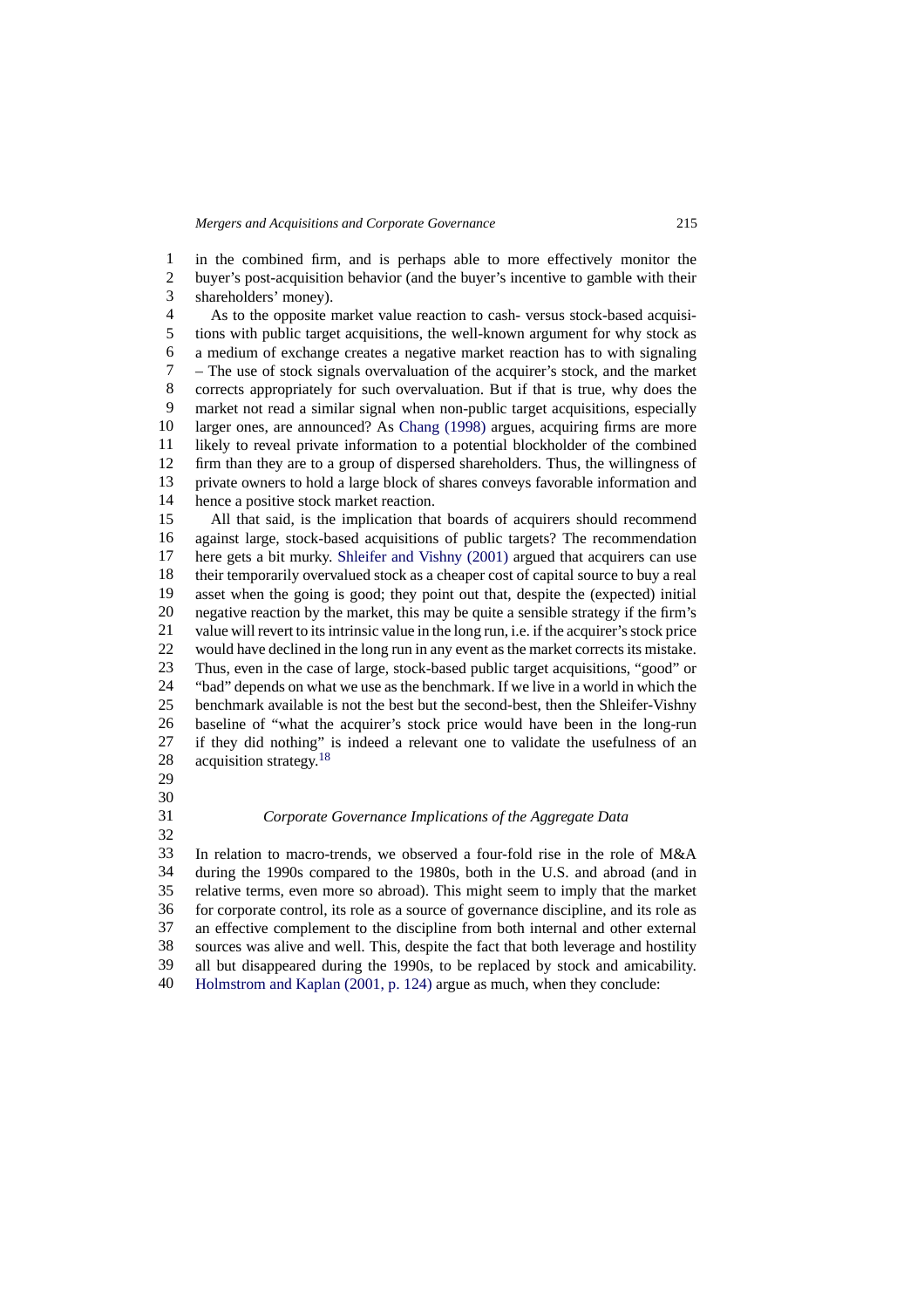1 2 3 in the combined firm, and is perhaps able to more effectively monitor the buyer's post-acquisition behavior (and the buyer's incentive to gamble with their shareholders' money).

4 5 6 7 8 9 10 11 12 13 14 As to the opposite market value reaction to cash- versus stock-based acquisitions with public target acquisitions, the well-known argument for why stock as a medium of exchange creates a negative market reaction has to with signaling – The use of stock signals overvaluation of the acquirer's stock, and the market corrects appropriately for such overvaluation. But if that is true, why does the market not read a similar signal when non-public target acquisitions, especially larger ones, are announced? As [Chang \(1998\)](#page-25-0) argues, acquiring firms are more likely to reveal private information to a potential blockholder of the combined firm than they are to a group of dispersed shareholders. Thus, the willingness of private owners to hold a large block of shares conveys favorable information and hence a positive stock market reaction.

15 16 17 18 19 20 21 22 23 24 25 26 27 28 All that said, is the implication that boards of acquirers should recommend against large, stock-based acquisitions of public targets? The recommendation here gets a bit murky. [Shleifer and Vishny \(2001\)](#page-26-0) argued that acquirers can use their temporarily overvalued stock as a cheaper cost of capital source to buy a real asset when the going is good; they point out that, despite the (expected) initial negative reaction by the market, this may be quite a sensible strategy if the firm's value will revert to its intrinsic value in the long run, i.e. if the acquirer's stock price would have declined in the long run in any event as the market corrects its mistake. Thus, even in the case of large, stock-based public target acquisitions, "good" or "bad" depends on what we use as the benchmark. If we live in a world in which the benchmark available is not the best but the second-best, then the Shleifer-Vishny baseline of "what the acquirer's stock price would have been in the long-run if they did nothing" is indeed a relevant one to validate the usefulness of an acquisition strategy.[18](#page-24-0)

29

- 30
- 31 32

## *Corporate Governance Implications of the Aggregate Data*

33 34 35 36 37 38 39 40 In relation to macro-trends, we observed a four-fold rise in the role of M&A during the 1990s compared to the 1980s, both in the U.S. and abroad (and in relative terms, even more so abroad). This might seem to imply that the market for corporate control, its role as a source of governance discipline, and its role as an effective complement to the discipline from both internal and other external sources was alive and well. This, despite the fact that both leverage and hostility all but disappeared during the 1990s, to be replaced by stock and amicability. [Holmstrom and Kaplan \(2001, p. 124\)](#page-25-0) argue as much, when they conclude: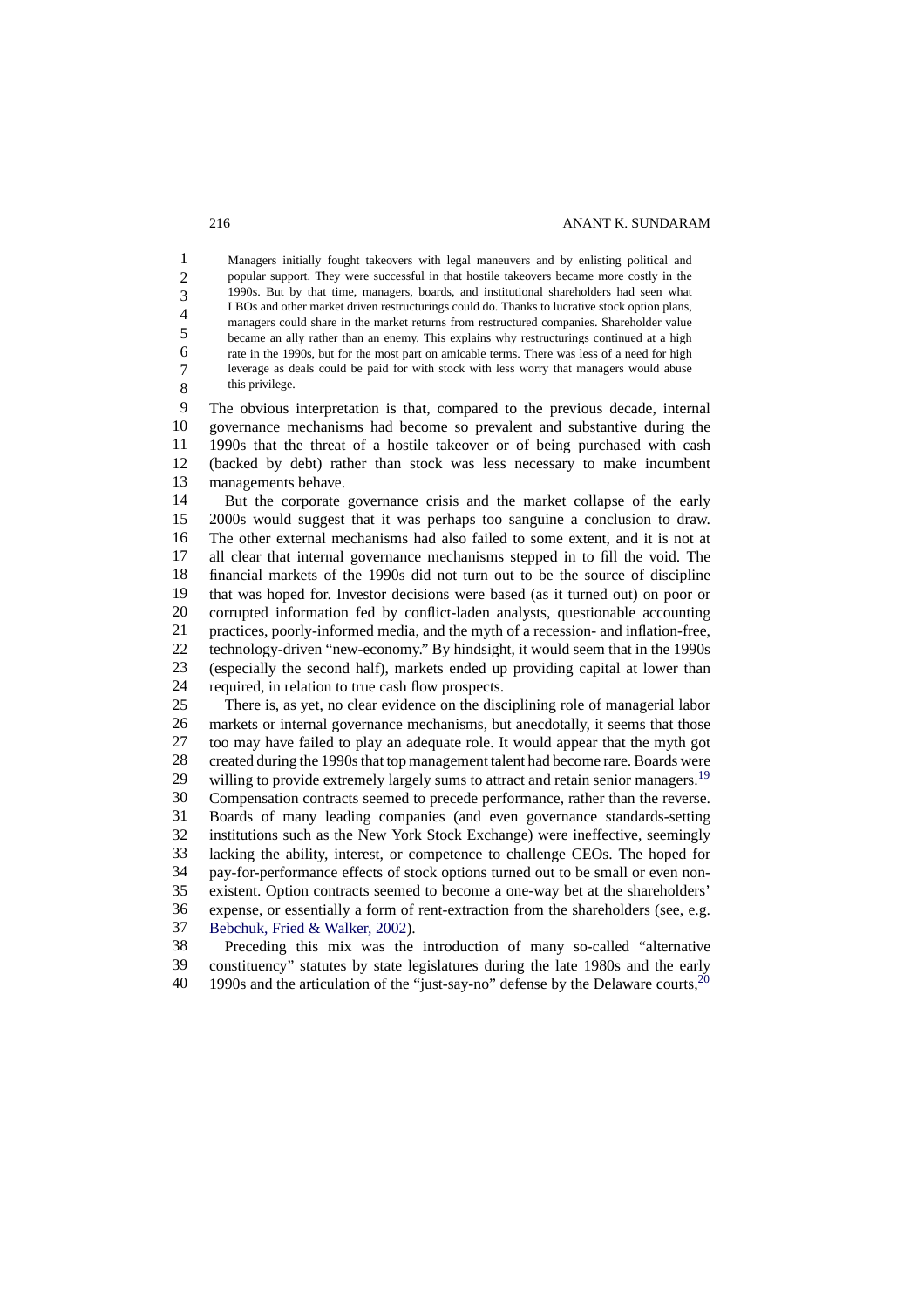1 2 3 4 5 6 7 8 Managers initially fought takeovers with legal maneuvers and by enlisting political and popular support. They were successful in that hostile takeovers became more costly in the 1990s. But by that time, managers, boards, and institutional shareholders had seen what LBOs and other market driven restructurings could do. Thanks to lucrative stock option plans, managers could share in the market returns from restructured companies. Shareholder value became an ally rather than an enemy. This explains why restructurings continued at a high rate in the 1990s, but for the most part on amicable terms. There was less of a need for high leverage as deals could be paid for with stock with less worry that managers would abuse this privilege.

9 10 11 12 13 The obvious interpretation is that, compared to the previous decade, internal governance mechanisms had become so prevalent and substantive during the 1990s that the threat of a hostile takeover or of being purchased with cash (backed by debt) rather than stock was less necessary to make incumbent managements behave.

14 15 16 17 18 19 20 21 22 23 24 But the corporate governance crisis and the market collapse of the early 2000s would suggest that it was perhaps too sanguine a conclusion to draw. The other external mechanisms had also failed to some extent, and it is not at all clear that internal governance mechanisms stepped in to fill the void. The financial markets of the 1990s did not turn out to be the source of discipline that was hoped for. Investor decisions were based (as it turned out) on poor or corrupted information fed by conflict-laden analysts, questionable accounting practices, poorly-informed media, and the myth of a recession- and inflation-free, technology-driven "new-economy." By hindsight, it would seem that in the 1990s (especially the second half), markets ended up providing capital at lower than required, in relation to true cash flow prospects.

25 26 27 28 29 30 31 32 33 There is, as yet, no clear evidence on the disciplining role of managerial labor markets or internal governance mechanisms, but anecdotally, it seems that those too may have failed to play an adequate role. It would appear that the myth got created during the 1990s that top management talent had become rare. Boards were willing to provide extremely largely sums to attract and retain senior managers.<sup>[19](#page-24-0)</sup> Compensation contracts seemed to precede performance, rather than the reverse. Boards of many leading companies (and even governance standards-setting institutions such as the New York Stock Exchange) were ineffective, seemingly lacking the ability, interest, or competence to challenge CEOs. The hoped for

34 35 36 37 pay-for-performance effects of stock options turned out to be small or even nonexistent. Option contracts seemed to become a one-way bet at the shareholders' expense, or essentially a form of rent-extraction from the shareholders (see, e.g. [Bebchuk, Fried & Walker, 2002\).](#page-25-0)

38 39 40 Preceding this mix was the introduction of many so-called "alternative constituency" statutes by state legislatures during the late 1980s and the early 1990s and the articulation of the "just-say-no" defense by the Delaware courts[,20](#page-24-0)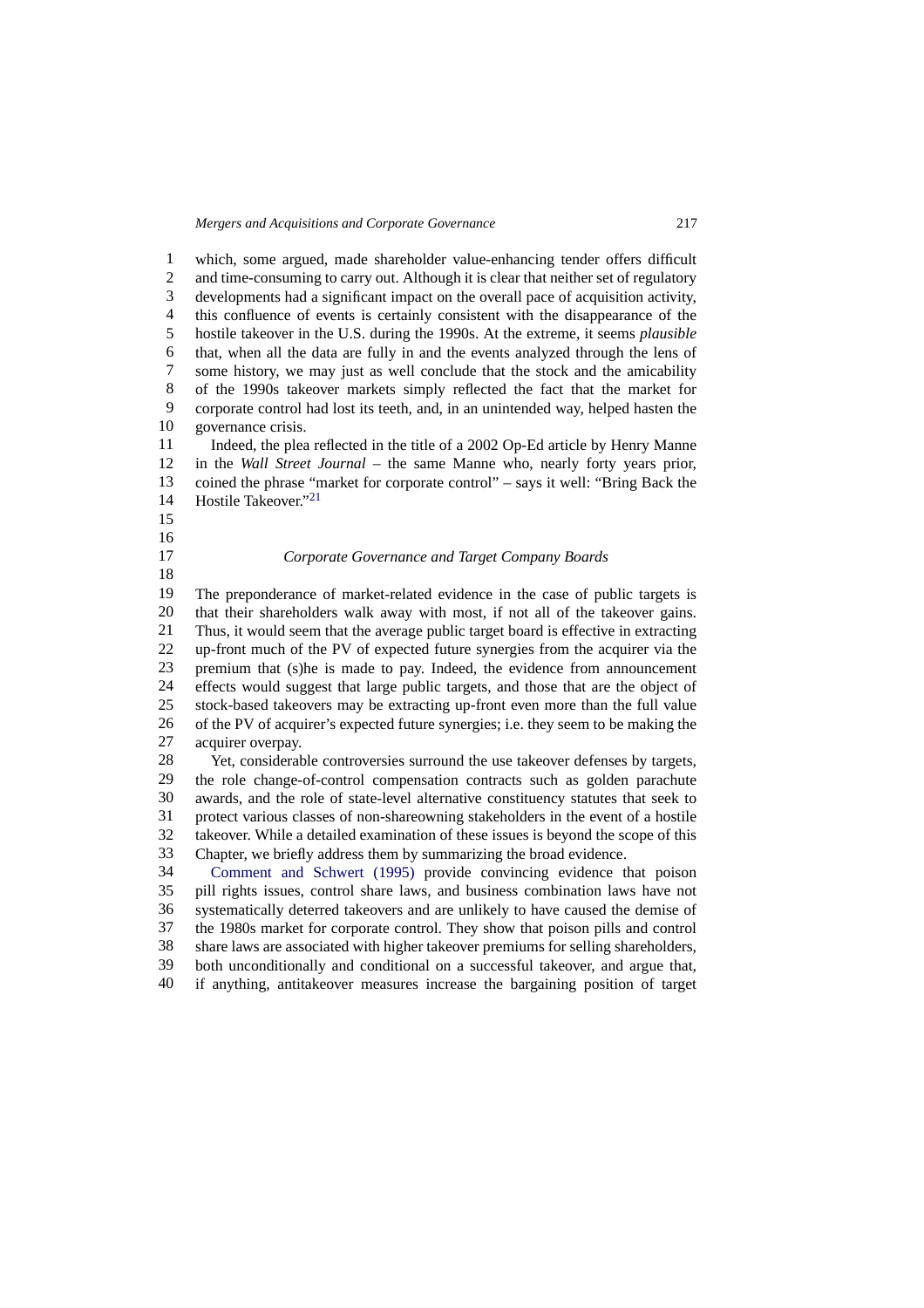1 2 3 4 5 6 7 8 9 10 which, some argued, made shareholder value-enhancing tender offers difficult and time-consuming to carry out. Although it is clear that neither set of regulatory developments had a significant impact on the overall pace of acquisition activity, this confluence of events is certainly consistent with the disappearance of the hostile takeover in the U.S. during the 1990s. At the extreme, it seems *plausible* that, when all the data are fully in and the events analyzed through the lens of some history, we may just as well conclude that the stock and the amicability of the 1990s takeover markets simply reflected the fact that the market for corporate control had lost its teeth, and, in an unintended way, helped hasten the governance crisis.

11 12 13 14 Indeed, the plea reflected in the title of a 2002 Op-Ed article by Henry Manne in the *Wall Street Journal* – the same Manne who, nearly forty years prior, coined the phrase "market for corporate control" – says it well: "Bring Back the Hostile Takeover."[21](#page-24-0)

- 15
- 16
- 17 18

#### *Corporate Governance and Target Company Boards*

19 20 21 22 23 24 25 26 27 The preponderance of market-related evidence in the case of public targets is that their shareholders walk away with most, if not all of the takeover gains. Thus, it would seem that the average public target board is effective in extracting up-front much of the PV of expected future synergies from the acquirer via the premium that (s)he is made to pay. Indeed, the evidence from announcement effects would suggest that large public targets, and those that are the object of stock-based takeovers may be extracting up-front even more than the full value of the PV of acquirer's expected future synergies; i.e. they seem to be making the acquirer overpay.

28 29 30 31 32 33 Yet, considerable controversies surround the use takeover defenses by targets, the role change-of-control compensation contracts such as golden parachute awards, and the role of state-level alternative constituency statutes that seek to protect various classes of non-shareowning stakeholders in the event of a hostile takeover. While a detailed examination of these issues is beyond the scope of this Chapter, we briefly address them by summarizing the broad evidence.

34 35 36 37 38 39 40 [Comment and Schwert \(1995](#page-25-0)) provide convincing evidence that poison pill rights issues, control share laws, and business combination laws have not systematically deterred takeovers and are unlikely to have caused the demise of the 1980s market for corporate control. They show that poison pills and control share laws are associated with higher takeover premiums for selling shareholders, both unconditionally and conditional on a successful takeover, and argue that, if anything, antitakeover measures increase the bargaining position of target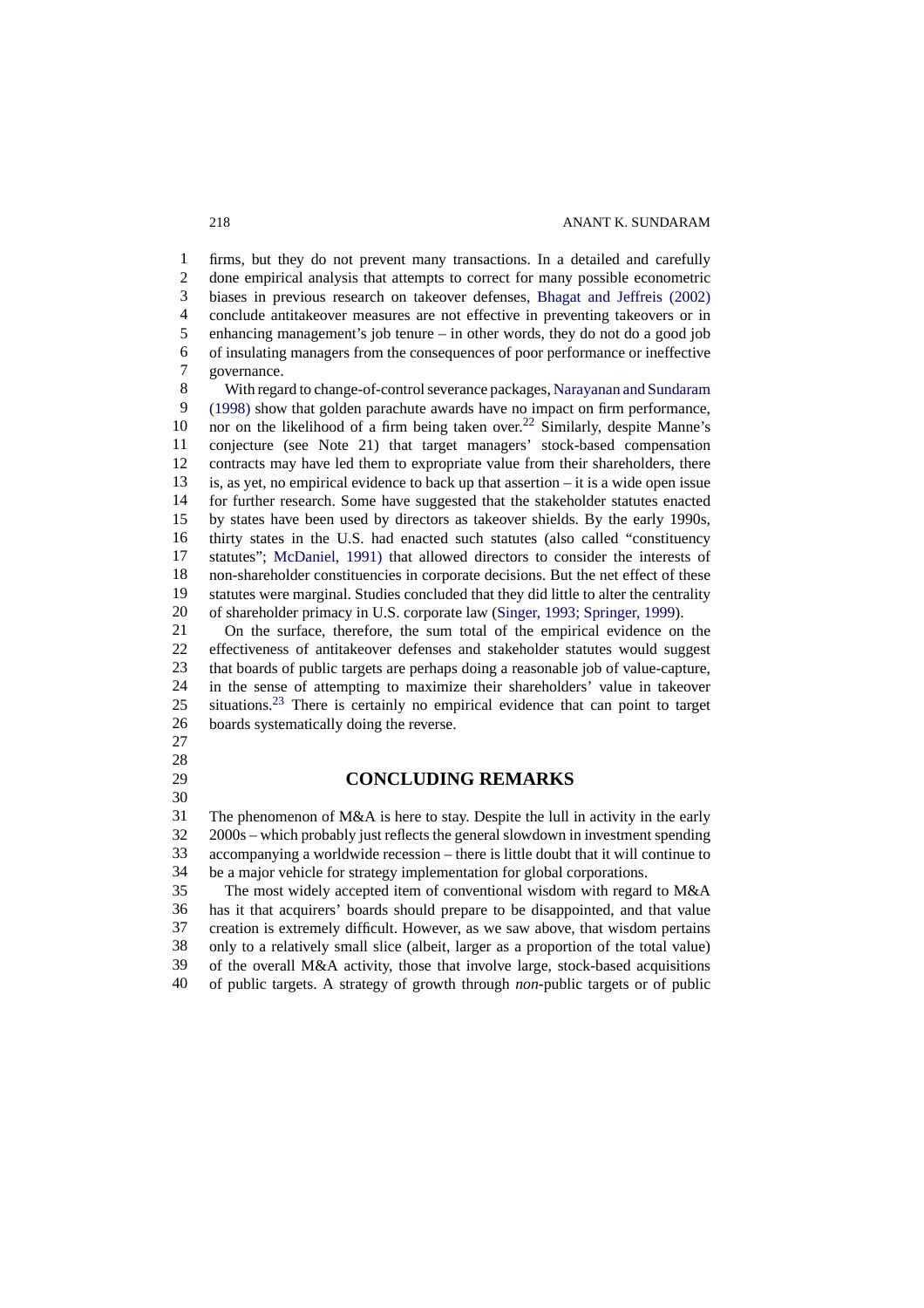1 2 3 4 5 6 7 firms, but they do not prevent many transactions. In a detailed and carefully done empirical analysis that attempts to correct for many possible econometric biases in previous research on takeover defenses, [Bhagat and Jeffreis \(2002\)](#page-25-0) conclude antitakeover measures are not effective in preventing takeovers or in enhancing management's job tenure – in other words, they do not do a good job of insulating managers from the consequences of poor performance or ineffective governance.

8 9 10 11 12 13 14 15 16 17 18 19 20 With regard to change-of-control severance packages, [Narayanan and Sundaram](#page-26-0) [\(1998\)](#page-26-0) show that golden parachute awards have no impact on firm performance, nor on the likelihood of a firm being taken over.<sup>22</sup> [Si](#page-24-0)milarly, despite Manne's conjecture (see Note 21) that target managers' stock-based compensation contracts may have led them to expropriate value from their shareholders, there is, as yet, no empirical evidence to back up that assertion – it is a wide open issue for further research. Some have suggested that the stakeholder statutes enacted by states have been used by directors as takeover shields. By the early 1990s, thirty states in the U.S. had enacted such statutes (also called "constituency statutes"; [McDaniel, 1991\)](#page-25-0) that allowed directors to consider the interests of non-shareholder constituencies in corporate decisions. But the net effect of these statutes were marginal. Studies concluded that they did little to alter the centrality of shareholder primacy in U.S. corporate law [\(Singer, 1993; Springer, 1999\).](#page-26-0)

21 22 23 24 25 26 On the surface, therefore, the sum total of the empirical evidence on the effectiveness of antitakeover defenses and stakeholder statutes would suggest that boards of public targets are perhaps doing a reasonable job of value-capture, in the sense of attempting to maximize their shareholders' value in takeover situations.<sup>23</sup> [Th](#page-24-0)ere is certainly no empirical evidence that can point to target boards systematically doing the reverse.

- 27
- 28
- 29 30

## **CONCLUDING REMARKS**

31 32 33 34 The phenomenon of  $M&A$  is here to stay. Despite the lull in activity in the early 2000s – which probably just reflects the general slowdown in investment spending accompanying a worldwide recession – there is little doubt that it will continue to be a major vehicle for strategy implementation for global corporations.

35 36 37 38 39 40 The most widely accepted item of conventional wisdom with regard to M&A has it that acquirers' boards should prepare to be disappointed, and that value creation is extremely difficult. However, as we saw above, that wisdom pertains only to a relatively small slice (albeit, larger as a proportion of the total value) of the overall M&A activity, those that involve large, stock-based acquisitions of public targets. A strategy of growth through *non*-public targets or of public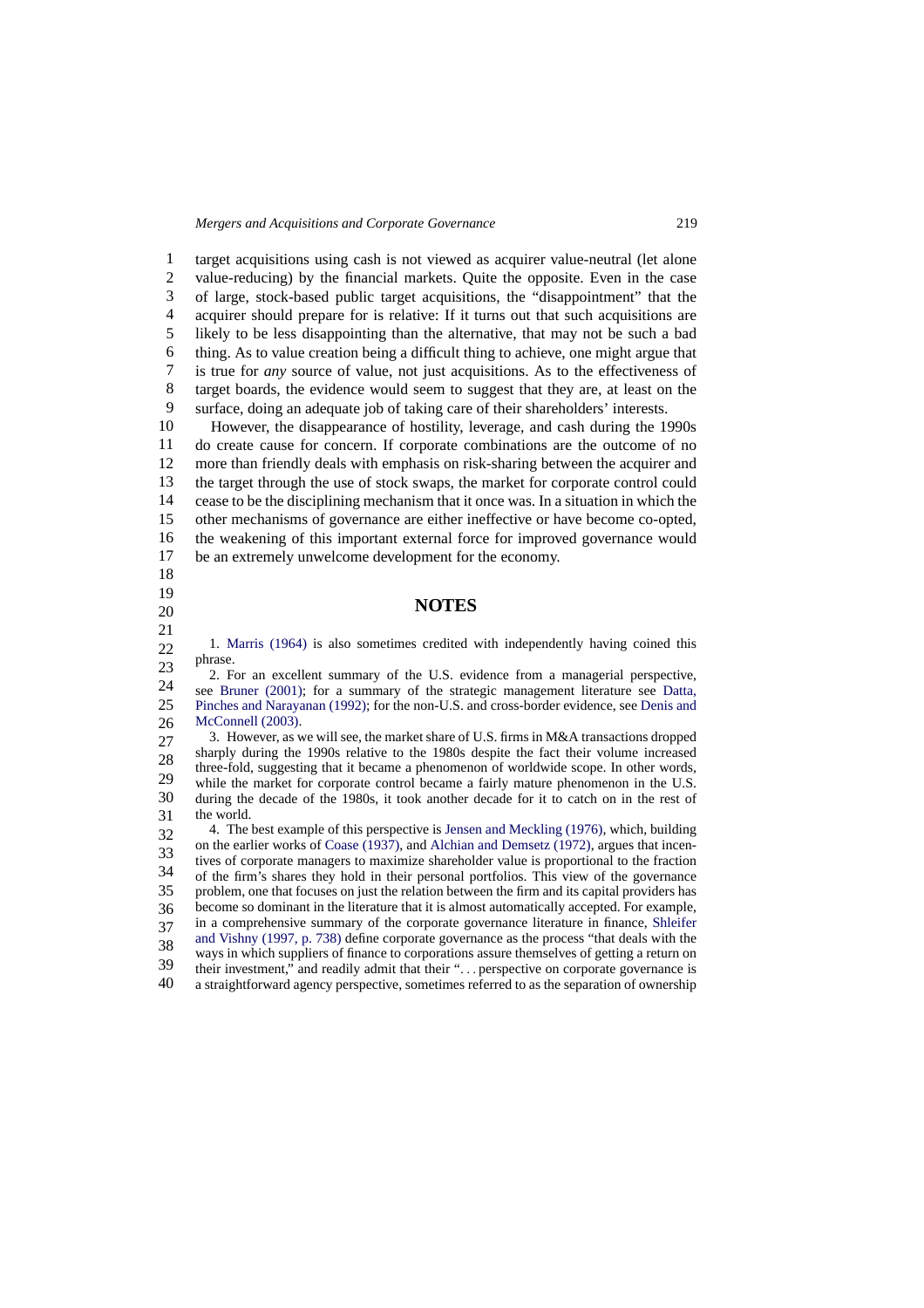<span id="page-22-0"></span>1 2 3 4 5 6 7 8 9 target acquisitions using cash is not viewed as acquirer value-neutral (let alone value-reducing) by the financial markets. Quite the opposite. Even in the case of large, stock-based public target acquisitions, the "disappointment" that the acquirer should prepare for is relative: If it turns out that such acquisitions are likely to be less disappointing than the alternative, that may not be such a bad thing. As to value creation being a difficult thing to achieve, one might argue that is true for *any* source of value, not just acquisitions. As to the effectiveness of target boards, the evidence would seem to suggest that they are, at least on the surface, doing an adequate job of taking care of their shareholders' interests.

10 11 12 13 14 15 16 17 However, the disappearance of hostility, leverage, and cash during the 1990s do create cause for concern. If corporate combinations are the outcome of no more than friendly deals with emphasis on risk-sharing between the acquirer and the target through the use of stock swaps, the market for corporate control could cease to be the disciplining mechanism that it once was. In a situation in which the other mechanisms of governance are either ineffective or have become co-opted, the weakening of this important external force for improved governance would be an extremely unwelcome development for the economy.

- 18 19
- 20 21

#### **NOTES**

22 23 1. [Marris \(1964\)](#page-25-0) is also sometimes credited with independently having coined this phrase.

24 25 26 2. For an excellent summary of the U.S. evidence from a managerial perspective, see [Bruner \(2001\);](#page-25-0) for a summary of the strategic management literature see [Datta,](#page-25-0) [Pinches and Narayanan \(1992\); f](#page-25-0)or the non-U.S. and cross-border evidence, see [Denis and](#page-25-0) [McConnell \(2003\).](#page-25-0)

27 28 29 30 31 3. However, as we will see, the market share of U.S. firms in M&A transactions dropped sharply during the 1990s relative to the 1980s despite the fact their volume increased three-fold, suggesting that it became a phenomenon of worldwide scope. In other words, while the market for corporate control became a fairly mature phenomenon in the U.S. during the decade of the 1980s, it took another decade for it to catch on in the rest of the world.

32 33 34 35 36 37 38 39 40 4. The best example of this perspective is [Jensen and Meckling \(1976\), w](#page-25-0)hich, building on the earlier works of [Coase \(1937\), a](#page-25-0)nd [Alchian and Demsetz \(1972\), a](#page-24-0)rgues that incentives of corporate managers to maximize shareholder value is proportional to the fraction of the firm's shares they hold in their personal portfolios. This view of the governance problem, one that focuses on just the relation between the firm and its capital providers has become so dominant in the literature that it is almost automatically accepted. For example, in a comprehensive summary of the corporate governance literature in finance, [Shleifer](#page-26-0) [and Vishny \(1997, p. 738\)](#page-26-0) define corporate governance as the process "that deals with the ways in which suppliers of finance to corporations assure themselves of getting a return on their investment," and readily admit that their "... perspective on corporate governance is a straightforward agency perspective, sometimes referred to as the separation of ownership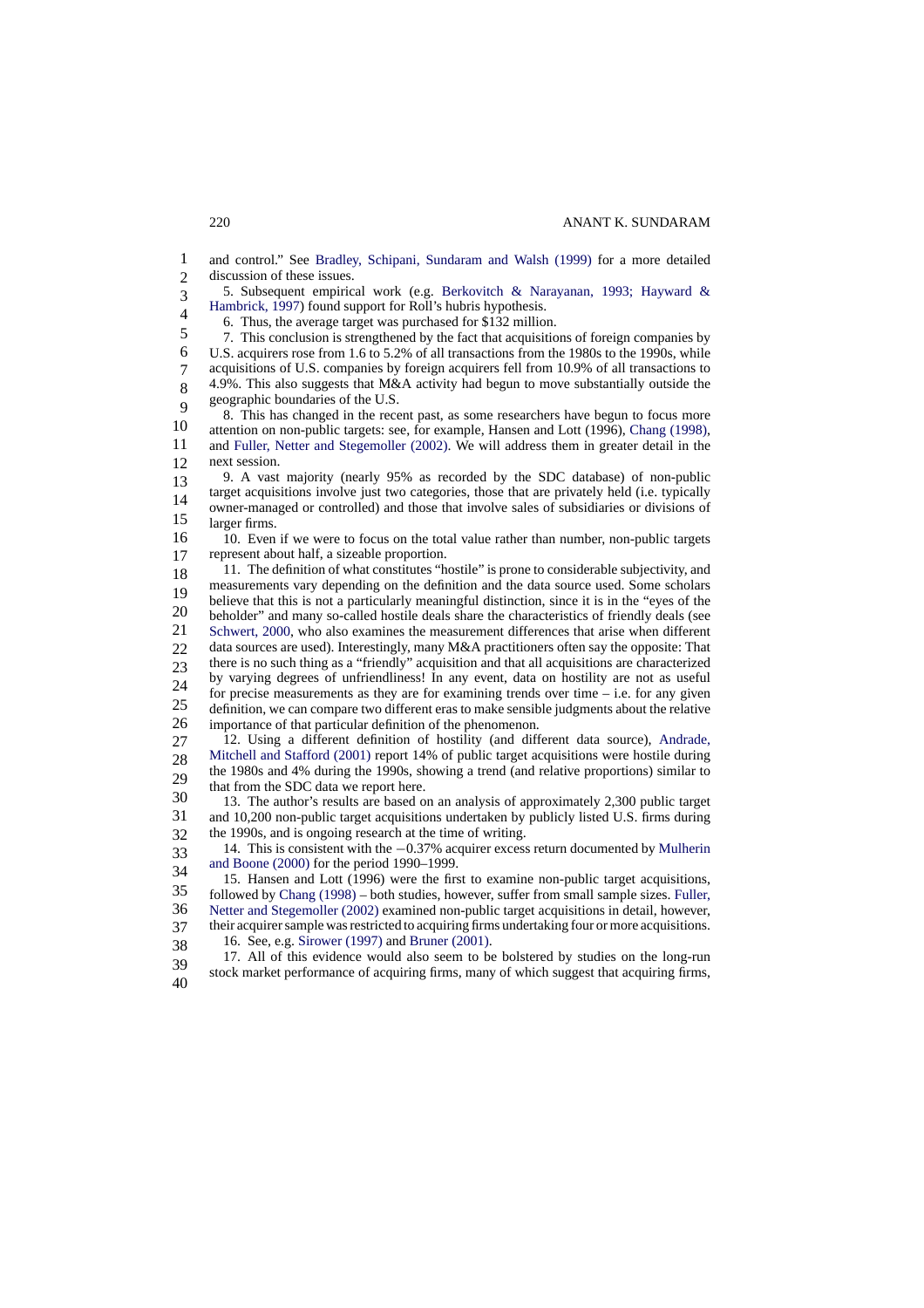1 2 and control." See [Bradley, Schipani, Sundaram and Walsh \(1999](#page-25-0)) for a more detailed discussion of these issues.

3 4 5. Subsequent empirical work (e.g. [Berkovitch & Narayanan, 1993; Hayward](#page-25-0) & [Hambrick, 1997\)](#page-25-0) found support for Roll's hubris hypothesis.

6. Thus, the average target was purchased for \$132 million.

5 6 7 8 9 7. This conclusion is strengthened by the fact that acquisitions of foreign companies by U.S. acquirers rose from 1.6 to 5.2% of all transactions from the 1980s to the 1990s, while acquisitions of U.S. companies by foreign acquirers fell from 10.9% of all transactions to 4.9%. This also suggests that M&A activity had begun to move substantially outside the geographic boundaries of the U.S.

10 11 12 8. This has changed in the recent past, as some researchers have begun to focus more attention on non-public targets: see, for example, Hansen and Lott (1996), [Chang \(1998\),](#page-25-0) and [Fuller, Netter and Stegemoller \(2002\).](#page-25-0) We will address them in greater detail in the next session.

13 14 15 9. A vast majority (nearly 95% as recorded by the SDC database) of non-public target acquisitions involve just two categories, those that are privately held (i.e. typically owner-managed or controlled) and those that involve sales of subsidiaries or divisions of larger firms.

16 17 10. Even if we were to focus on the total value rather than number, non-public targets represent about half, a sizeable proportion.

18 19 20 21 22 23 24 25 26 11. The definition of what constitutes "hostile" is prone to considerable subjectivity, and measurements vary depending on the definition and the data source used. Some scholars believe that this is not a particularly meaningful distinction, since it is in the "eyes of the beholder" and many so-called hostile deals share the characteristics of friendly deals (see [Schwert, 2000, w](#page-26-0)ho also examines the measurement differences that arise when different data sources are used). Interestingly, many M&A practitioners often say the opposite: That there is no such thing as a "friendly" acquisition and that all acquisitions are characterized by varying degrees of unfriendliness! In any event, data on hostility are not as useful for precise measurements as they are for examining trends over time  $-$  i.e. for any given definition, we can compare two different eras to make sensible judgments about the relative importance of that particular definition of the phenomenon.

27 28 29 12. Using a different definition of hostility (and different data source), [Andrade,](#page-24-0) [Mitchell and Stafford \(2001\)](#page-24-0) report 14% of public target acquisitions were hostile during the 1980s and 4% during the 1990s, showing a trend (and relative proportions) similar to that from the SDC data we report here.

30 31 32 13. The author's results are based on an analysis of approximately 2,300 public target and 10,200 non-public target acquisitions undertaken by publicly listed U.S. firms during the 1990s, and is ongoing research at the time of writing.

33 34 14. This is consistent with the −0.37% acquirer excess return documented by [Mulherin](#page-26-0) [and Boone \(2000\)](#page-26-0) for the period 1990–1999.

35 36 37 15. Hansen and Lott (1996) were the first to examine non-public target acquisitions, followed by [Chang \(1998\)](#page-25-0) – both studies, however, suffer from small sample sizes. [Fuller,](#page-25-0) [Netter and Stegemoller \(2002\)](#page-25-0) examined non-public target acquisitions in detail, however, their acquirer sample was restricted to acquiring firms undertaking four or more acquisitions.

38 16. See, e.g. [Sirower \(1997\)](#page-26-0) and [Bruner \(2001\).](#page-25-0)

39 40 17. All of this evidence would also seem to be bolstered by studies on the long-run stock market performance of acquiring firms, many of which suggest that acquiring firms,

<span id="page-23-0"></span>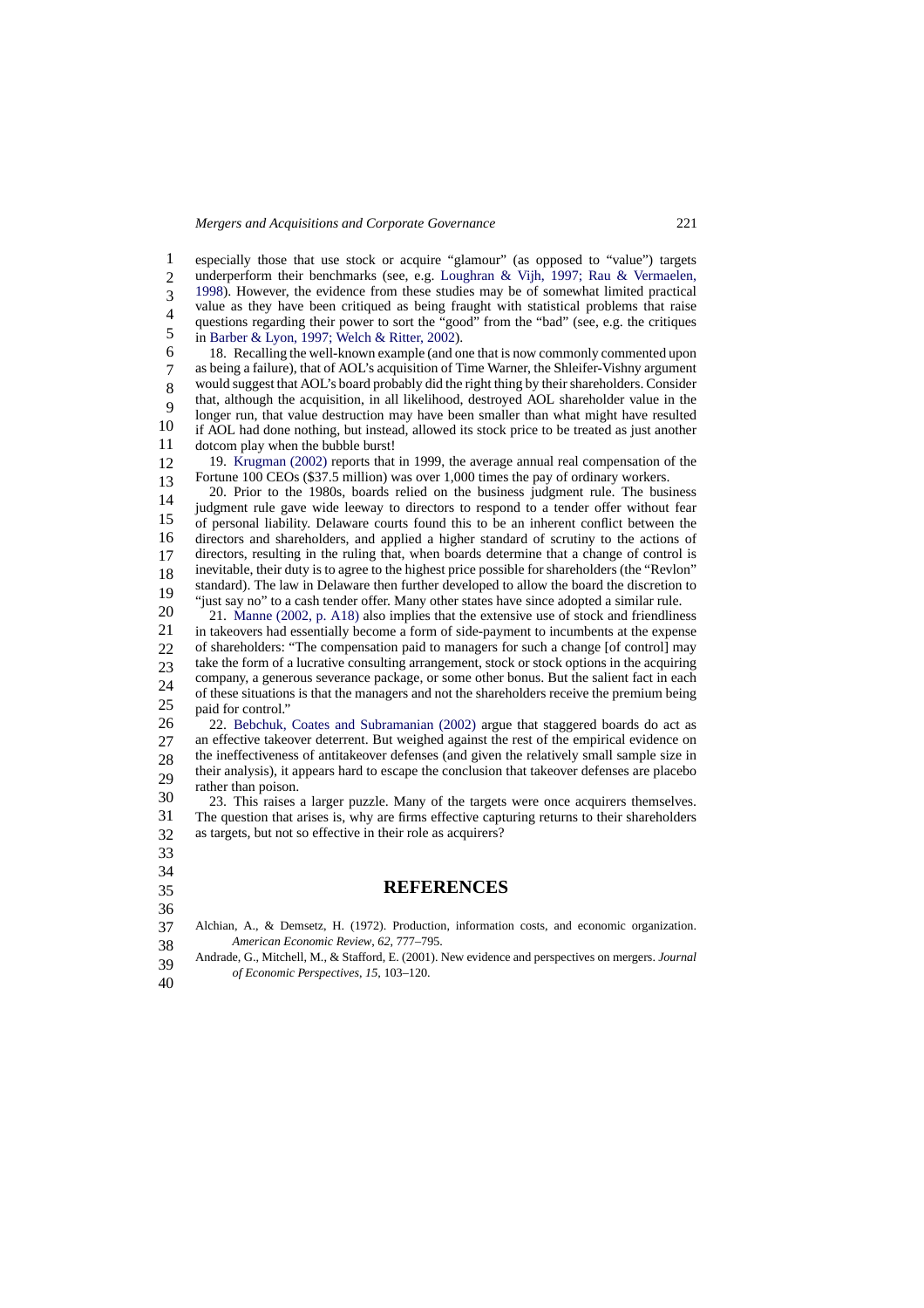<span id="page-24-0"></span>1 2 3 4 5 especially those that use stock or acquire "glamour" (as opposed to "value") targets underperform their benchmarks (see, e.g. [Loughran & Vijh, 1997; Rau & Vermaelen](#page-25-0), [1998\).](#page-25-0) However, the evidence from these studies may be of somewhat limited practical value as they have been critiqued as being fraught with statistical problems that raise questions regarding their power to sort the "good" from the "bad" (see, e.g. the critiques in [Barber & Lyon, 1997; Welch & Ritter, 2002\).](#page-25-0)

6 7 8 9 10 11 18. Recalling the well-known example (and one that is now commonly commented upon as being a failure), that of AOL's acquisition of Time Warner, the Shleifer-Vishny argument would suggest that AOL's board probably did the right thing by their shareholders. Consider that, although the acquisition, in all likelihood, destroyed AOL shareholder value in the longer run, that value destruction may have been smaller than what might have resulted if AOL had done nothing, but instead, allowed its stock price to be treated as just another dotcom play when the bubble burst!

12 13 19. [Krugman \(2002\)](#page-25-0) reports that in 1999, the average annual real compensation of the Fortune 100 CEOs (\$37.5 million) was over 1,000 times the pay of ordinary workers.

14 15 16 17 18 19 20. Prior to the 1980s, boards relied on the business judgment rule. The business judgment rule gave wide leeway to directors to respond to a tender offer without fear of personal liability. Delaware courts found this to be an inherent conflict between the directors and shareholders, and applied a higher standard of scrutiny to the actions of directors, resulting in the ruling that, when boards determine that a change of control is inevitable, their duty is to agree to the highest price possible for shareholders (the "Revlon" standard). The law in Delaware then further developed to allow the board the discretion to "just say no" to a cash tender offer. Many other states have since adopted a similar rule.

20 21 22 23 24 25 21. [Manne \(2002, p. A18\)](#page-25-0) also implies that the extensive use of stock and friendliness in takeovers had essentially become a form of side-payment to incumbents at the expense of shareholders: "The compensation paid to managers for such a change [of control] may take the form of a lucrative consulting arrangement, stock or stock options in the acquiring company, a generous severance package, or some other bonus. But the salient fact in each of these situations is that the managers and not the shareholders receive the premium being paid for control."

26 27 28 29 22. [Bebchuk, Coates and Subramanian \(2002\)](#page-25-0) argue that staggered boards do act as an effective takeover deterrent. But weighed against the rest of the empirical evidence on the ineffectiveness of antitakeover defenses (and given the relatively small sample size in their analysis), it appears hard to escape the conclusion that takeover defenses are placebo rather than poison.

30 31 32 23. This raises a larger puzzle. Many of the targets were once acquirers themselves. The question that arises is, why are firms effective capturing returns to their shareholders as targets, but not so effective in their role as acquirers?

## **REFERENCES**

- 37 38 Alchian, A., & Demsetz, H. (1972). Production, information costs, and economic organization. *American Economic Review*, *62*, 777–795.
- 39 40 Andrade, G., Mitchell, M., & Stafford, E. (2001). New evidence and perspectives on mergers. *Journal of Economic Perspectives*, *15*, 103–120.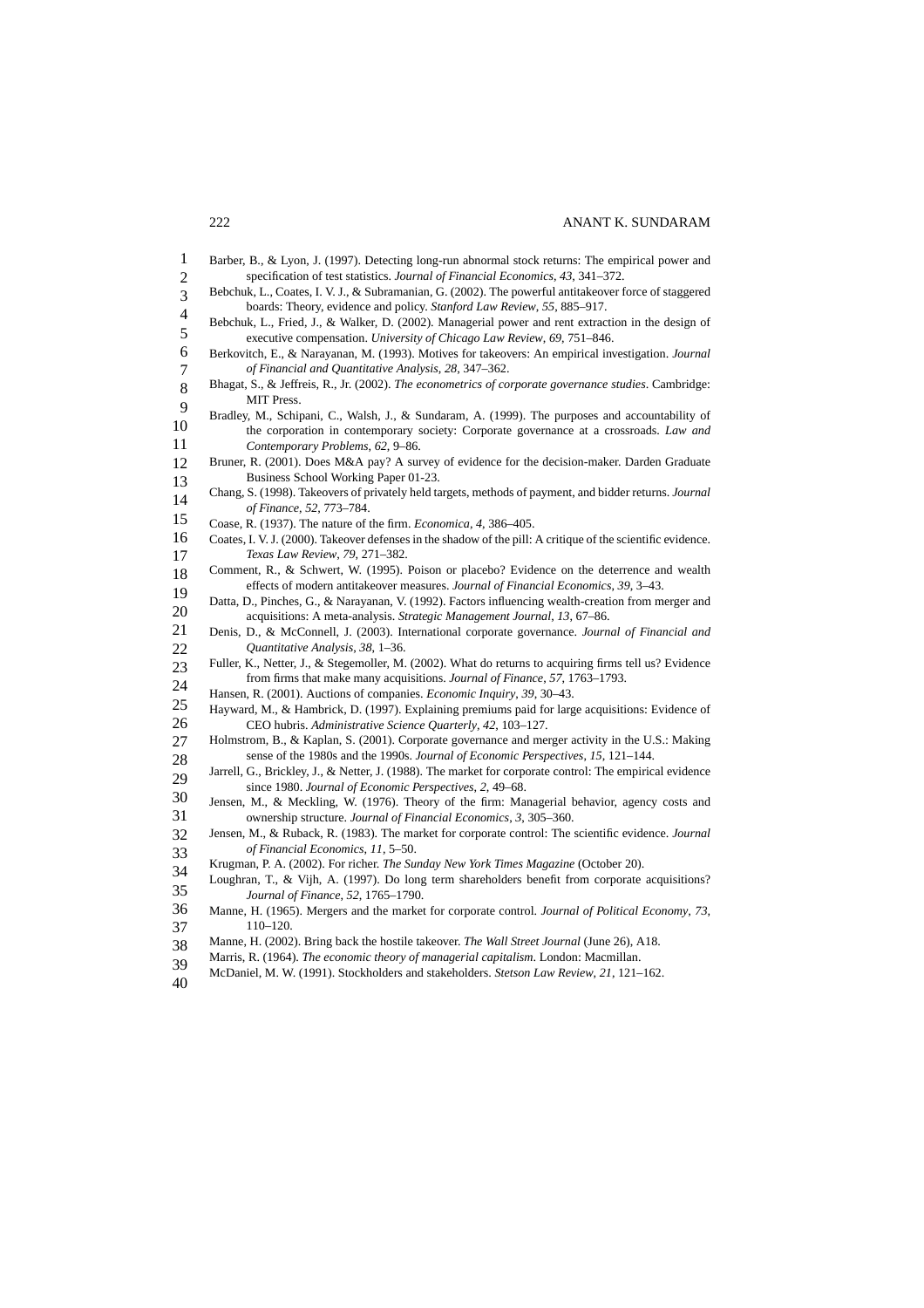#### <span id="page-25-0"></span>222 ANANT K. SUNDARAM

| $\mathbf{1}$             | Barber, B., & Lyon, J. (1997). Detecting long-run abnormal stock returns: The empirical power and                                                                               |
|--------------------------|---------------------------------------------------------------------------------------------------------------------------------------------------------------------------------|
| $\overline{c}$           | specification of test statistics. Journal of Financial Economics, 43, 341-372.                                                                                                  |
| 3                        | Bebchuk, L., Coates, I. V. J., & Subramanian, G. (2002). The powerful antitakeover force of staggered<br>boards: Theory, evidence and policy. Stanford Law Review, 55, 885–917. |
| $\overline{\mathcal{L}}$ | Bebchuk, L., Fried, J., & Walker, D. (2002). Managerial power and rent extraction in the design of                                                                              |
| 5                        | executive compensation. University of Chicago Law Review, 69, 751-846.                                                                                                          |
| 6                        | Berkovitch, E., & Narayanan, M. (1993). Motives for takeovers: An empirical investigation. Journal                                                                              |
| $\boldsymbol{7}$         | of Financial and Quantitative Analysis, 28, 347-362.                                                                                                                            |
| 8                        | Bhagat, S., & Jeffreis, R., Jr. (2002). The econometrics of corporate governance studies. Cambridge:                                                                            |
|                          | <b>MIT Press.</b>                                                                                                                                                               |
| 9                        | Bradley, M., Schipani, C., Walsh, J., & Sundaram, A. (1999). The purposes and accountability of                                                                                 |
| 10                       | the corporation in contemporary society: Corporate governance at a crossroads. Law and                                                                                          |
| 11                       | Contemporary Problems, 62, 9-86.                                                                                                                                                |
| 12                       | Bruner, R. (2001). Does M&A pay? A survey of evidence for the decision-maker. Darden Graduate                                                                                   |
| 13                       | Business School Working Paper 01-23.                                                                                                                                            |
| 14                       | Chang, S. (1998). Takeovers of privately held targets, methods of payment, and bidder returns. Journal                                                                          |
| 15                       | of Finance, 52, 773-784.                                                                                                                                                        |
| 16                       | Coase, R. (1937). The nature of the firm. <i>Economica</i> , 4, 386–405.                                                                                                        |
|                          | Coates, I. V. J. (2000). Takeover defenses in the shadow of the pill: A critique of the scientific evidence.                                                                    |
| 17                       | Texas Law Review, 79, 271-382.<br>Comment, R., & Schwert, W. (1995). Poison or placebo? Evidence on the deterrence and wealth                                                   |
| 18                       | effects of modern antitakeover measures. Journal of Financial Economics, 39, 3-43.                                                                                              |
| 19                       | Datta, D., Pinches, G., & Narayanan, V. (1992). Factors influencing wealth-creation from merger and                                                                             |
| $20\,$                   | acquisitions: A meta-analysis. Strategic Management Journal, 13, 67-86.                                                                                                         |
| 21                       | Denis, D., & McConnell, J. (2003). International corporate governance. Journal of Financial and                                                                                 |
| 22                       | Ouantitative Analysis, 38, 1–36.                                                                                                                                                |
| 23                       | Fuller, K., Netter, J., & Stegemoller, M. (2002). What do returns to acquiring firms tell us? Evidence                                                                          |
| 24                       | from firms that make many acquisitions. Journal of Finance, 57, 1763-1793.                                                                                                      |
|                          | Hansen, R. (2001). Auctions of companies. <i>Economic Inquiry</i> , 39, 30–43.                                                                                                  |
| 25                       | Hayward, M., & Hambrick, D. (1997). Explaining premiums paid for large acquisitions: Evidence of                                                                                |
| 26                       | CEO hubris. Administrative Science Quarterly, 42, 103-127.                                                                                                                      |
| 27                       | Holmstrom, B., & Kaplan, S. (2001). Corporate governance and merger activity in the U.S.: Making                                                                                |
| 28                       | sense of the 1980s and the 1990s. Journal of Economic Perspectives, 15, 121-144.                                                                                                |
| 29                       | Jarrell, G., Brickley, J., & Netter, J. (1988). The market for corporate control: The empirical evidence                                                                        |
| 30                       | since 1980. Journal of Economic Perspectives, 2, 49-68.                                                                                                                         |
| 31                       | Jensen, M., & Meckling, W. (1976). Theory of the firm: Managerial behavior, agency costs and                                                                                    |
|                          | ownership structure. Journal of Financial Economics, 3, 305-360.<br>Jensen, M., & Ruback, R. (1983). The market for corporate control: The scientific evidence. Journal         |
| 32                       | of Financial Economics, 11, 5-50.                                                                                                                                               |
| 33                       | Krugman, P. A. (2002). For richer. The Sunday New York Times Magazine (October 20).                                                                                             |
| 34                       | Loughran, T., & Vijh, A. (1997). Do long term shareholders benefit from corporate acquisitions?                                                                                 |
| 35                       | Journal of Finance, 52, 1765-1790.                                                                                                                                              |
| 36                       | Manne, H. (1965). Mergers and the market for corporate control. Journal of Political Economy, 73,                                                                               |
| 37                       | $110 - 120.$                                                                                                                                                                    |

- 38 Manne, H. (2002). Bring back the hostile takeover. *The Wall Street Journal* (June 26), A18.
- 39 Marris, R. (1964). *The economic theory of managerial capitalism*. London: Macmillan.
- 40 McDaniel, M. W. (1991). Stockholders and stakeholders. *Stetson Law Review*, *21*, 121–162.